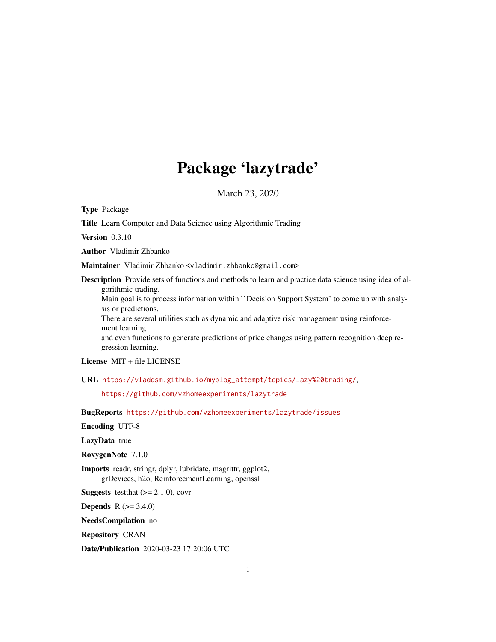# Package 'lazytrade'

March 23, 2020

Type Package

Title Learn Computer and Data Science using Algorithmic Trading

Version 0.3.10

Author Vladimir Zhbanko

Maintainer Vladimir Zhbanko <vladimir.zhbanko@gmail.com>

Description Provide sets of functions and methods to learn and practice data science using idea of algorithmic trading.

Main goal is to process information within ``Decision Support System'' to come up with analysis or predictions.

There are several utilities such as dynamic and adaptive risk management using reinforcement learning

and even functions to generate predictions of price changes using pattern recognition deep regression learning.

License MIT + file LICENSE

URL [https://vladdsm.github.io/myblog\\_attempt/topics/lazy%20trading/](https://vladdsm.github.io/myblog_attempt/topics/lazy%20trading/),

<https://github.com/vzhomeexperiments/lazytrade>

BugReports <https://github.com/vzhomeexperiments/lazytrade/issues>

Encoding UTF-8

LazyData true

RoxygenNote 7.1.0

Imports readr, stringr, dplyr, lubridate, magrittr, ggplot2, grDevices, h2o, ReinforcementLearning, openssl

**Suggests** test that  $(>= 2.1.0)$ , covr

**Depends**  $R (= 3.4.0)$ 

NeedsCompilation no

Repository CRAN

Date/Publication 2020-03-23 17:20:06 UTC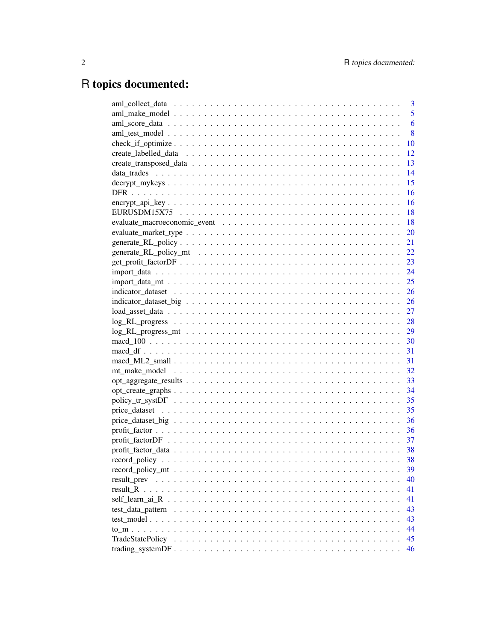# R topics documented:

|             | 3  |
|-------------|----|
|             | 5  |
|             | 6  |
|             | 8  |
|             | 10 |
|             | 12 |
|             | 13 |
|             | 14 |
|             | 15 |
|             | 16 |
|             | 16 |
|             | 18 |
|             | 18 |
|             | 20 |
|             | 21 |
|             |    |
|             |    |
|             |    |
|             |    |
|             |    |
|             |    |
|             |    |
|             |    |
|             |    |
|             |    |
|             |    |
|             |    |
|             |    |
|             |    |
|             |    |
|             |    |
|             |    |
|             |    |
|             |    |
|             |    |
|             |    |
|             | 38 |
|             | 39 |
| result_prev | 40 |
| result R    | 41 |
|             | 41 |
|             | 43 |
|             | 43 |
|             | 44 |
|             | 45 |
|             | 46 |
|             |    |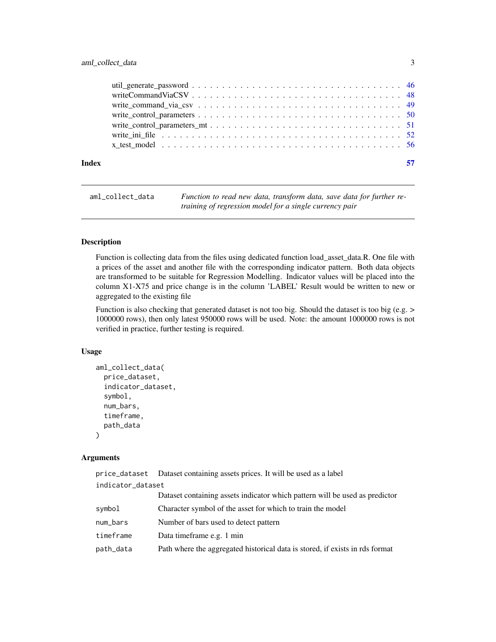#### <span id="page-2-0"></span>aml\_collect\_data 3

| Index | 57 |
|-------|----|
|       |    |
|       |    |
|       |    |
|       |    |
|       |    |
|       |    |
|       |    |

```
aml_collect_data Function to read new data, transform data, save data for further re-
                         training of regression model for a single currency pair
```
#### Description

Function is collecting data from the files using dedicated function load\_asset\_data.R. One file with a prices of the asset and another file with the corresponding indicator pattern. Both data objects are transformed to be suitable for Regression Modelling. Indicator values will be placed into the column X1-X75 and price change is in the column 'LABEL' Result would be written to new or aggregated to the existing file

Function is also checking that generated dataset is not too big. Should the dataset is too big (e.g. > 1000000 rows), then only latest 950000 rows will be used. Note: the amount 1000000 rows is not verified in practice, further testing is required.

#### Usage

```
aml_collect_data(
  price_dataset,
  indicator_dataset,
  symbol,
  num_bars,
  timeframe,
  path_data
)
```
#### **Arguments**

|                   | price_dataset Dataset containing assets prices. It will be used as a label   |
|-------------------|------------------------------------------------------------------------------|
| indicator_dataset |                                                                              |
|                   | Dataset containing assets indicator which pattern will be used as predictor  |
| symbol            | Character symbol of the asset for which to train the model                   |
| num_bars          | Number of bars used to detect pattern                                        |
| timeframe         | Data timeframe e.g. 1 min                                                    |
| path_data         | Path where the aggregated historical data is stored, if exists in rds format |
|                   |                                                                              |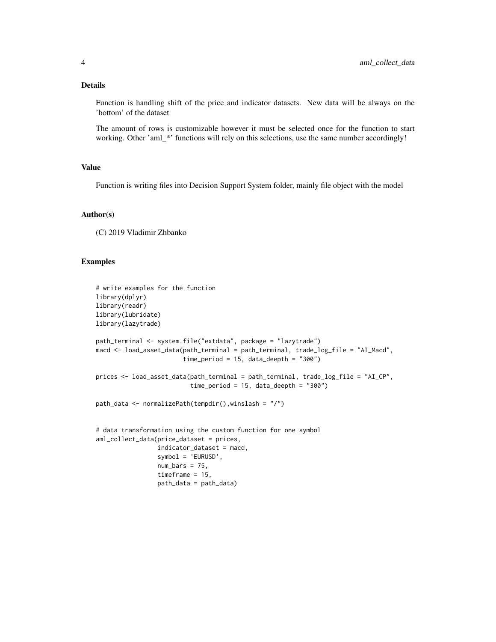#### Details

Function is handling shift of the price and indicator datasets. New data will be always on the 'bottom' of the dataset

The amount of rows is customizable however it must be selected once for the function to start working. Other 'aml\_\*' functions will rely on this selections, use the same number accordingly!

#### Value

Function is writing files into Decision Support System folder, mainly file object with the model

#### Author(s)

(C) 2019 Vladimir Zhbanko

```
# write examples for the function
library(dplyr)
library(readr)
library(lubridate)
library(lazytrade)
path_terminal <- system.file("extdata", package = "lazytrade")
macd <- load_asset_data(path_terminal = path_terminal, trade_log_file = "AI_Macd",
                        time_period = 15, data_deepth = "300")
prices <- load_asset_data(path_terminal = path_terminal, trade_log_file = "AI_CP",
                          time_period = 15, data_deepth = "300")
path_data <- normalizePath(tempdir(),winslash = "/")
# data transformation using the custom function for one symbol
aml_collect_data(price_dataset = prices,
                 indicator_dataset = macd,
                 symbol = 'EURUSD',
                 num\_bars = 75,
                 timeframe = 15,
                 path_data = path_data)
```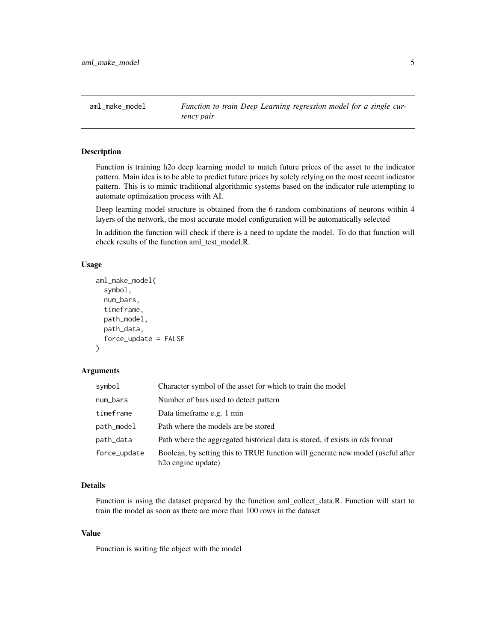<span id="page-4-0"></span>aml\_make\_model *Function to train Deep Learning regression model for a single currency pair*

#### Description

Function is training h2o deep learning model to match future prices of the asset to the indicator pattern. Main idea is to be able to predict future prices by solely relying on the most recent indicator pattern. This is to mimic traditional algorithmic systems based on the indicator rule attempting to automate optimization process with AI.

Deep learning model structure is obtained from the 6 random combinations of neurons within 4 layers of the network, the most accurate model configuration will be automatically selected

In addition the function will check if there is a need to update the model. To do that function will check results of the function aml\_test\_model.R.

#### Usage

```
aml_make_model(
  symbol,
  num_bars,
  timeframe,
 path_model,
 path_data,
  force_update = FALSE
)
```
## Arguments

| symbol       | Character symbol of the asset for which to train the model                                                         |
|--------------|--------------------------------------------------------------------------------------------------------------------|
| num_bars     | Number of bars used to detect pattern                                                                              |
| timeframe    | Data timeframe e.g. 1 min                                                                                          |
| path_model   | Path where the models are be stored                                                                                |
| path_data    | Path where the aggregated historical data is stored, if exists in rds format                                       |
| force_update | Boolean, by setting this to TRUE function will generate new model (useful after<br>h <sub>2</sub> o engine update) |

#### Details

Function is using the dataset prepared by the function aml\_collect\_data.R. Function will start to train the model as soon as there are more than 100 rows in the dataset

#### Value

Function is writing file object with the model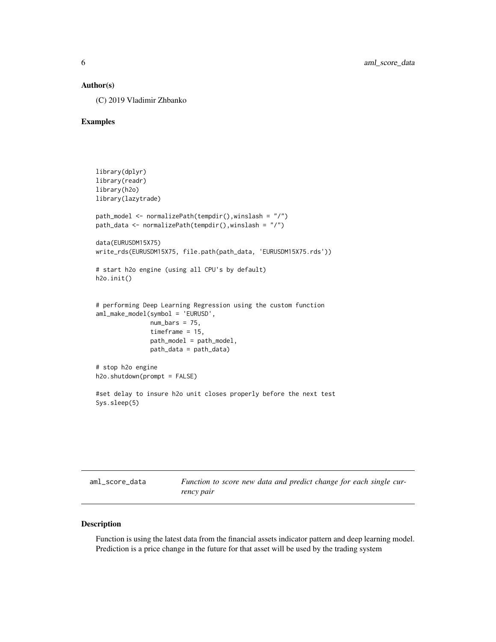#### <span id="page-5-0"></span>Author(s)

(C) 2019 Vladimir Zhbanko

#### Examples

```
library(dplyr)
library(readr)
library(h2o)
library(lazytrade)
path_model <- normalizePath(tempdir(),winslash = "/")
path_data <- normalizePath(tempdir(),winslash = "/")
data(EURUSDM15X75)
write_rds(EURUSDM15X75, file.path(path_data, 'EURUSDM15X75.rds'))
# start h2o engine (using all CPU's by default)
h2o.init()
# performing Deep Learning Regression using the custom function
aml_make_model(symbol = 'EURUSD',
               num\_bars = 75,
               timeframe = 15,
               path_model = path_model,
               path_data = path_data)
# stop h2o engine
h2o.shutdown(prompt = FALSE)
#set delay to insure h2o unit closes properly before the next test
Sys.sleep(5)
```
aml\_score\_data *Function to score new data and predict change for each single currency pair*

#### Description

Function is using the latest data from the financial assets indicator pattern and deep learning model. Prediction is a price change in the future for that asset will be used by the trading system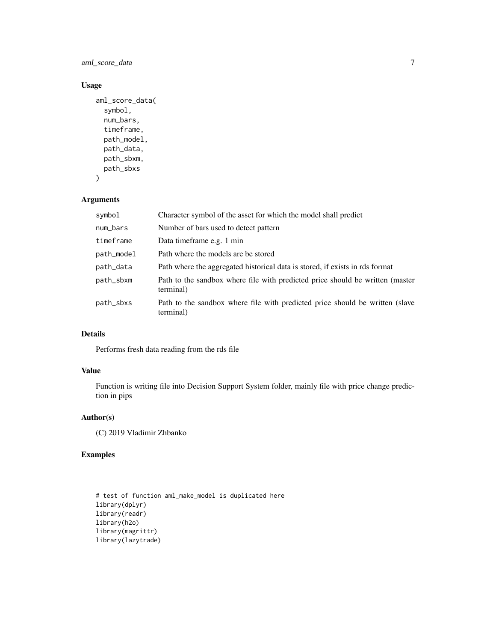aml\_score\_data 7

#### Usage

```
aml_score_data(
  symbol,
  num_bars,
  timeframe,
  path_model,
  path_data,
  path_sbxm,
  path_sbxs
\mathcal{L}
```
#### Arguments

| symbol     | Character symbol of the asset for which the model shall predict                            |
|------------|--------------------------------------------------------------------------------------------|
| num_bars   | Number of bars used to detect pattern                                                      |
| timeframe  | Data time frame e.g. 1 min                                                                 |
| path_model | Path where the models are be stored                                                        |
| path_data  | Path where the aggregated historical data is stored, if exists in rds format               |
| path_sbxm  | Path to the sandbox where file with predicted price should be written (master<br>terminal) |
| path_sbxs  | Path to the sandbox where file with predicted price should be written (slave<br>terminal)  |

#### Details

Performs fresh data reading from the rds file

#### Value

Function is writing file into Decision Support System folder, mainly file with price change prediction in pips

#### Author(s)

(C) 2019 Vladimir Zhbanko

```
# test of function aml_make_model is duplicated here
library(dplyr)
library(readr)
library(h2o)
library(magrittr)
library(lazytrade)
```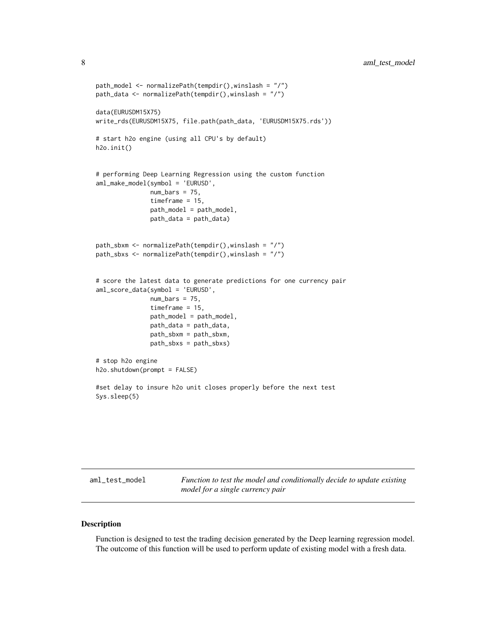```
path_model <- normalizePath(tempdir(),winslash = "/")
path_data <- normalizePath(tempdir(),winslash = "/")
data(EURUSDM15X75)
write_rds(EURUSDM15X75, file.path(path_data, 'EURUSDM15X75.rds'))
# start h2o engine (using all CPU's by default)
h2o.init()
# performing Deep Learning Regression using the custom function
aml_make_model(symbol = 'EURUSD',
               num\_bars = 75,
               timeframe = 15,
               path_model = path_model,
               path_data = path_data)
path_sbxm <- normalizePath(tempdir(),winslash = "/")
path_sbxs <- normalizePath(tempdir(),winslash = "/")
# score the latest data to generate predictions for one currency pair
aml_score_data(symbol = 'EURUSD',
               num\_bars = 75,
               timeframe = 15,
               path_model = path_model,
               path_data = path_data,
               path_sbxm = path_sbxm,
               path_sbxs = path_sbxs)
# stop h2o engine
h2o.shutdown(prompt = FALSE)
#set delay to insure h2o unit closes properly before the next test
Sys.sleep(5)
```
aml\_test\_model *Function to test the model and conditionally decide to update existing model for a single currency pair*

#### Description

Function is designed to test the trading decision generated by the Deep learning regression model. The outcome of this function will be used to perform update of existing model with a fresh data.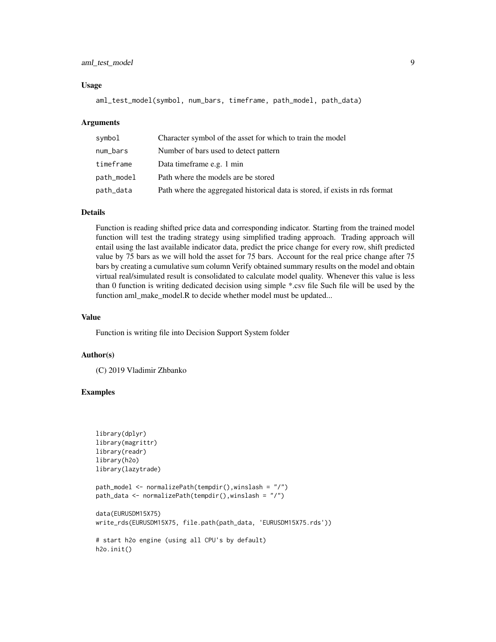#### aml\_test\_model 9

#### Usage

aml\_test\_model(symbol, num\_bars, timeframe, path\_model, path\_data)

#### Arguments

| symbol     | Character symbol of the asset for which to train the model                   |
|------------|------------------------------------------------------------------------------|
| num_bars   | Number of bars used to detect pattern                                        |
| timeframe  | Data time frame e.g. 1 min                                                   |
| path_model | Path where the models are be stored                                          |
| path_data  | Path where the aggregated historical data is stored, if exists in rds format |

#### Details

Function is reading shifted price data and corresponding indicator. Starting from the trained model function will test the trading strategy using simplified trading approach. Trading approach will entail using the last available indicator data, predict the price change for every row, shift predicted value by 75 bars as we will hold the asset for 75 bars. Account for the real price change after 75 bars by creating a cumulative sum column Verify obtained summary results on the model and obtain virtual real/simulated result is consolidated to calculate model quality. Whenever this value is less than 0 function is writing dedicated decision using simple \*.csv file Such file will be used by the function aml\_make\_model.R to decide whether model must be updated...

#### Value

Function is writing file into Decision Support System folder

#### Author(s)

(C) 2019 Vladimir Zhbanko

```
library(dplyr)
library(magrittr)
library(readr)
library(h2o)
library(lazytrade)
path_model <- normalizePath(tempdir(),winslash = "/")
path_data <- normalizePath(tempdir(),winslash = "/")
data(EURUSDM15X75)
write_rds(EURUSDM15X75, file.path(path_data, 'EURUSDM15X75.rds'))
# start h2o engine (using all CPU's by default)
h2o.init()
```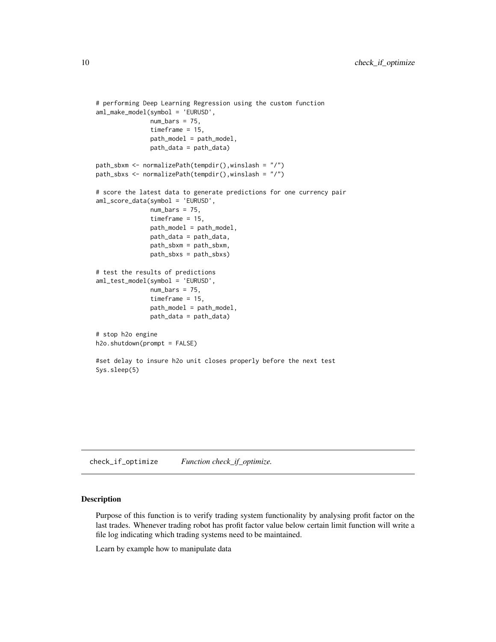```
# performing Deep Learning Regression using the custom function
aml_make_model(symbol = 'EURUSD',
              num\_bars = 75,
               timeframe = 15,
               path_model = path_model,
               path_data = path_data)
path_sbxm <- normalizePath(tempdir(),winslash = "/")
path_sbxs <- normalizePath(tempdir(),winslash = "/")
# score the latest data to generate predictions for one currency pair
aml_score_data(symbol = 'EURUSD',
               num\_bars = 75,
               timeframe = 15,
               path_model = path_model,
               path_data = path_data,
               path_sbxm = path_sbxm,
               path_sbxs = path_sbxs)
# test the results of predictions
aml_test_model(symbol = 'EURUSD',
               num\_bars = 75,
               timeframe = 15,
               path_model = path_model,
               path_data = path_data)
# stop h2o engine
h2o.shutdown(prompt = FALSE)
#set delay to insure h2o unit closes properly before the next test
Sys.sleep(5)
```
check\_if\_optimize *Function check\_if\_optimize.*

#### Description

Purpose of this function is to verify trading system functionality by analysing profit factor on the last trades. Whenever trading robot has profit factor value below certain limit function will write a file log indicating which trading systems need to be maintained.

Learn by example how to manipulate data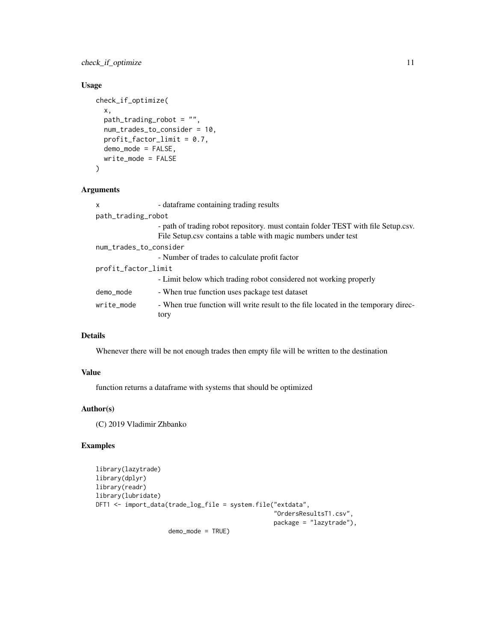check\_if\_optimize 11

#### Usage

```
check_if_optimize(
 x,
 path_trading_robot = "",
 num_trades_to_consider = 10,
 profit_factor_limit = 0.7,demo_mode = FALSE,
 write_mode = FALSE
)
```
#### Arguments

| $\mathsf{x}$           | - dataframe containing trading results                                                                                                             |  |
|------------------------|----------------------------------------------------------------------------------------------------------------------------------------------------|--|
| path_trading_robot     |                                                                                                                                                    |  |
|                        | - path of trading robot repository, must contain folder TEST with file Setup.csv.<br>File Setup.csv contains a table with magic numbers under test |  |
| num_trades_to_consider |                                                                                                                                                    |  |
|                        | - Number of trades to calculate profit factor                                                                                                      |  |
| profit_factor_limit    |                                                                                                                                                    |  |
|                        | - Limit below which trading robot considered not working properly                                                                                  |  |
| demo_mode              | - When true function uses package test dataset                                                                                                     |  |
| write_mode             | - When true function will write result to the file located in the temporary direc-<br>tory                                                         |  |

#### Details

Whenever there will be not enough trades then empty file will be written to the destination

#### Value

function returns a dataframe with systems that should be optimized

#### Author(s)

(C) 2019 Vladimir Zhbanko

#### Examples

```
library(lazytrade)
library(dplyr)
library(readr)
library(lubridate)
DFT1 <- import_data(trade_log_file = system.file("extdata",
                                                  "OrdersResultsT1.csv",
                                                  package = "lazytrade"),
```
demo\_mode = TRUE)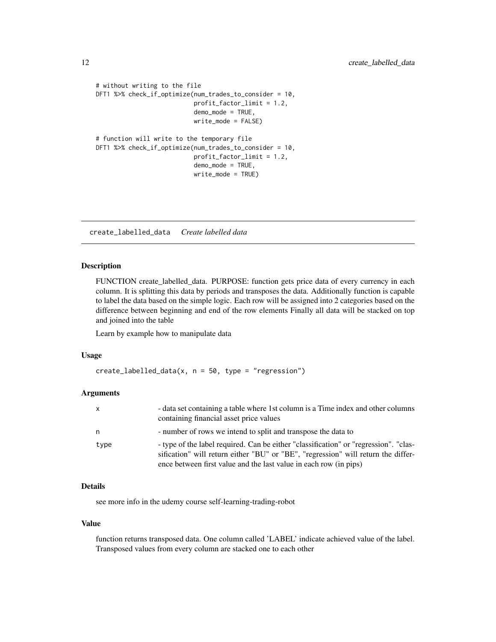```
# without writing to the file
DFT1 %>% check_if_optimize(num_trades_to_consider = 10,
                           profit_factor_limit = 1.2,
                           demo_mode = TRUE,
                           write_mode = FALSE)
# function will write to the temporary file
DFT1 %>% check_if_optimize(num_trades_to_consider = 10,
                           profit_factor_limit = 1.2,
                           demo_mode = TRUE,
                           write_mode = TRUE)
```
create\_labelled\_data *Create labelled data*

#### Description

FUNCTION create\_labelled\_data. PURPOSE: function gets price data of every currency in each column. It is splitting this data by periods and transposes the data. Additionally function is capable to label the data based on the simple logic. Each row will be assigned into 2 categories based on the difference between beginning and end of the row elements Finally all data will be stacked on top and joined into the table

Learn by example how to manipulate data

#### Usage

```
create\_labelled\_data(x, n = 50, type = "regression")
```
#### **Arguments**

| x    | - data set containing a table where 1st column is a Time index and other columns<br>containing financial asset price values                                                                                                                    |
|------|------------------------------------------------------------------------------------------------------------------------------------------------------------------------------------------------------------------------------------------------|
| n    | - number of rows we intend to split and transpose the data to                                                                                                                                                                                  |
| type | - type of the label required. Can be either "classification" or "regression". "clas-<br>sification" will return either "BU" or "BE", "regression" will return the differ-<br>ence between first value and the last value in each row (in pips) |

#### Details

see more info in the udemy course self-learning-trading-robot

#### Value

function returns transposed data. One column called 'LABEL' indicate achieved value of the label. Transposed values from every column are stacked one to each other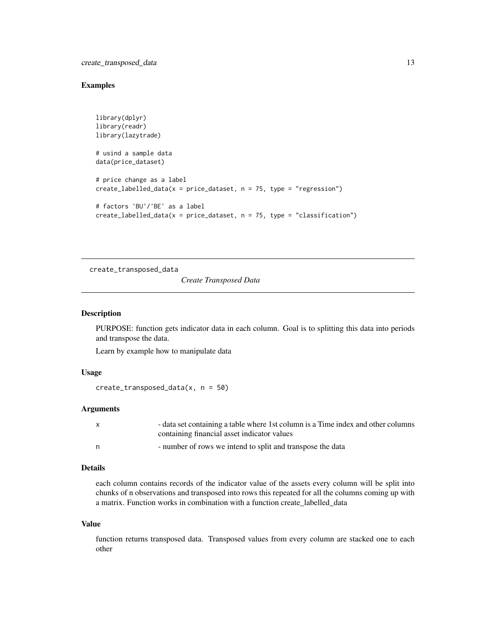#### <span id="page-12-0"></span>Examples

```
library(dplyr)
library(readr)
library(lazytrade)
# usind a sample data
data(price_dataset)
# price change as a label
create\_labelled\_data(x = price\_dataset, n = 75, type = "regression")# factors 'BU'/'BE' as a label
create\_labelled\_data(x = price\_dataset, n = 75, type = "classification")
```
create\_transposed\_data

*Create Transposed Data*

#### Description

PURPOSE: function gets indicator data in each column. Goal is to splitting this data into periods and transpose the data.

Learn by example how to manipulate data

#### Usage

create\_transposed\_data(x, n = 50)

#### Arguments

| $\mathsf{x}$ | - data set containing a table where 1st column is a Time index and other columns |
|--------------|----------------------------------------------------------------------------------|
|              | containing financial asset indicator values                                      |
| n.           | - number of rows we intend to split and transpose the data                       |

#### Details

each column contains records of the indicator value of the assets every column will be split into chunks of n observations and transposed into rows this repeated for all the columns coming up with a matrix. Function works in combination with a function create\_labelled\_data

#### Value

function returns transposed data. Transposed values from every column are stacked one to each other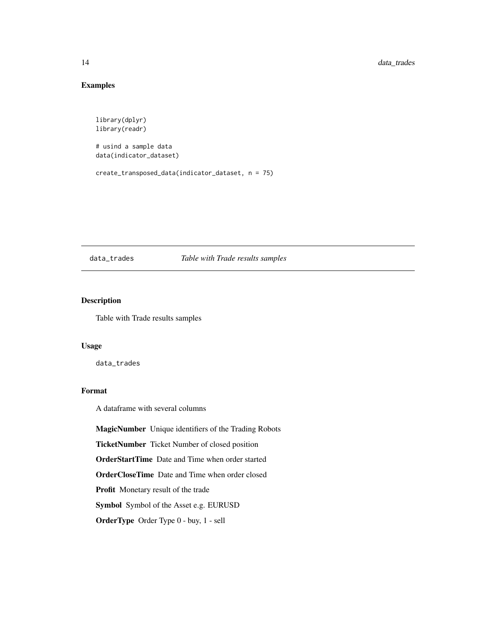#### Examples

```
library(dplyr)
library(readr)
```
# usind a sample data data(indicator\_dataset)

create\_transposed\_data(indicator\_dataset, n = 75)

#### data\_trades *Table with Trade results samples*

#### Description

Table with Trade results samples

#### Usage

data\_trades

#### Format

A dataframe with several columns

MagicNumber Unique identifiers of the Trading Robots

TicketNumber Ticket Number of closed position

OrderStartTime Date and Time when order started

OrderCloseTime Date and Time when order closed

Profit Monetary result of the trade

Symbol Symbol of the Asset e.g. EURUSD

OrderType Order Type 0 - buy, 1 - sell

<span id="page-13-0"></span>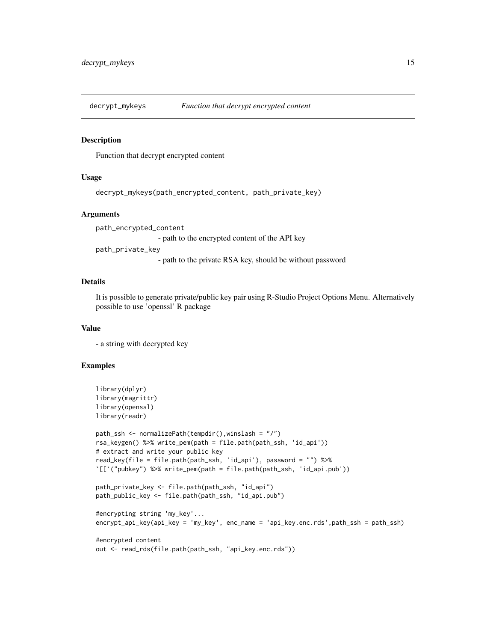<span id="page-14-0"></span>

Function that decrypt encrypted content

#### Usage

decrypt\_mykeys(path\_encrypted\_content, path\_private\_key)

#### Arguments

path\_encrypted\_content - path to the encrypted content of the API key path\_private\_key

- path to the private RSA key, should be without password

#### Details

It is possible to generate private/public key pair using R-Studio Project Options Menu. Alternatively possible to use 'openssl' R package

#### Value

- a string with decrypted key

```
library(dplyr)
library(magrittr)
library(openssl)
library(readr)
path_ssh <- normalizePath(tempdir(),winslash = "/")
rsa_keygen() %>% write_pem(path = file.path(path_ssh, 'id_api'))
# extract and write your public key
read_key(file = file.path(path_ssh, 'id_api'), password = "") %>%
`[[`("pubkey") %>% write_pem(path = file.path(path_ssh, 'id_api.pub'))
path_private_key <- file.path(path_ssh, "id_api")
path_public_key <- file.path(path_ssh, "id_api.pub")
#encrypting string 'my_key'...
encrypt_api_key(api_key = 'my_key', enc_name = 'api_key.enc.rds',path_ssh = path_ssh)
#encrypted content
out <- read_rds(file.path(path_ssh, "api_key.enc.rds"))
```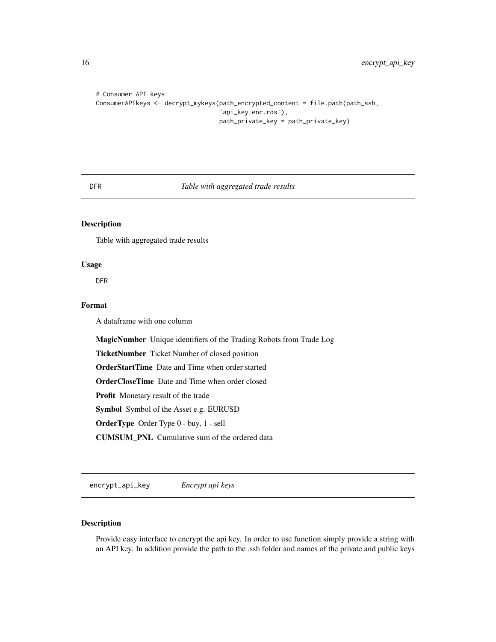<span id="page-15-0"></span># Consumer API keys ConsumerAPIkeys <- decrypt\_mykeys(path\_encrypted\_content = file.path(path\_ssh, 'api\_key.enc.rds'), path\_private\_key = path\_private\_key)

#### DFR *Table with aggregated trade results*

#### Description

Table with aggregated trade results

#### Usage

DFR

#### Format

A dataframe with one column

MagicNumber Unique identifiers of the Trading Robots from Trade Log

TicketNumber Ticket Number of closed position

OrderStartTime Date and Time when order started

OrderCloseTime Date and Time when order closed

Profit Monetary result of the trade

Symbol Symbol of the Asset e.g. EURUSD

OrderType Order Type 0 - buy, 1 - sell

CUMSUM\_PNL Cumulative sum of the ordered data

encrypt\_api\_key *Encrypt api keys*

#### Description

Provide easy interface to encrypt the api key. In order to use function simply provide a string with an API key. In addition provide the path to the .ssh folder and names of the private and public keys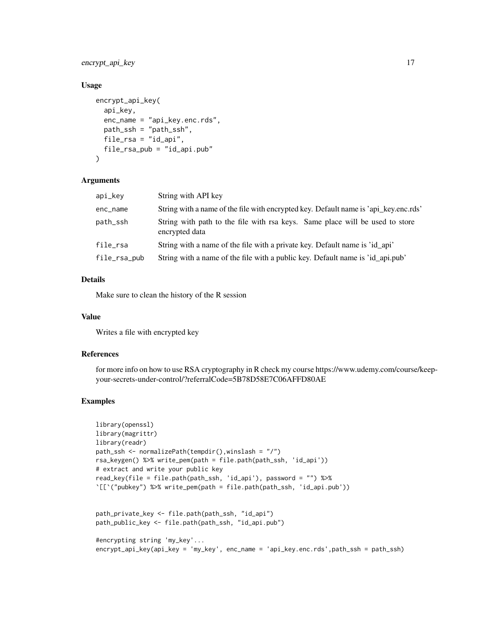#### encrypt\_api\_key 17

#### Usage

```
encrypt_api_key(
  api_key,
  enc_name = "api_key.enc.rds",
  path_ssh = "path_ssh",
  file\_rsa = "id\_api",file_rsa_pub = "id_api.pub"
\lambda
```
#### Arguments

| api_key      | String with API key                                                                            |
|--------------|------------------------------------------------------------------------------------------------|
| enc_name     | String with a name of the file with encrypted key. Default name is 'api_key.enc.rds'           |
| path_ssh     | String with path to the file with rsa keys. Same place will be used to store<br>encrypted data |
| file_rsa     | String with a name of the file with a private key. Default name is 'id_api'                    |
| file_rsa_pub | String with a name of the file with a public key. Default name is 'id_api.pub'                 |

#### Details

Make sure to clean the history of the R session

#### Value

Writes a file with encrypted key

#### References

for more info on how to use RSA cryptography in R check my course https://www.udemy.com/course/keepyour-secrets-under-control/?referralCode=5B78D58E7C06AFFD80AE

```
library(openssl)
library(magrittr)
library(readr)
path_ssh <- normalizePath(tempdir(),winslash = "/")
rsa_keygen() %>% write_pem(path = file.path(path_ssh, 'id_api'))
# extract and write your public key
read_key(file = file.path(path_ssh, 'id_api'), password = "") %>%
`[[`("pubkey") %>% write_pem(path = file.path(path_ssh, 'id_api.pub'))
```

```
path_private_key <- file.path(path_ssh, "id_api")
path_public_key <- file.path(path_ssh, "id_api.pub")
```

```
#encrypting string 'my_key'...
encrypt_api_key(api_key = 'my_key', enc_name = 'api_key.enc.rds',path_ssh = path_ssh)
```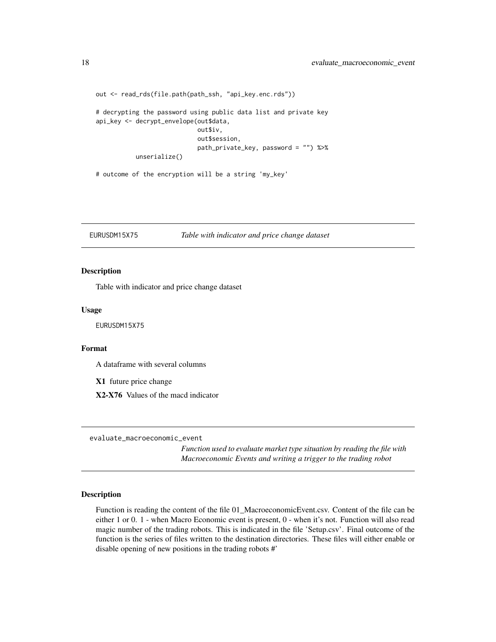```
out <- read_rds(file.path(path_ssh, "api_key.enc.rds"))
# decrypting the password using public data list and private key
api_key <- decrypt_envelope(out$data,
                            out$iv,
                            out$session,
                            path_private_key, password = "") %>%
           unserialize()
# outcome of the encryption will be a string 'my_key'
```
EURUSDM15X75 *Table with indicator and price change dataset*

#### Description

Table with indicator and price change dataset

#### Usage

EURUSDM15X75

#### Format

A dataframe with several columns

X1 future price change

X2-X76 Values of the macd indicator

evaluate\_macroeconomic\_event

*Function used to evaluate market type situation by reading the file with Macroeconomic Events and writing a trigger to the trading robot*

#### Description

Function is reading the content of the file 01\_MacroeconomicEvent.csv. Content of the file can be either 1 or 0. 1 - when Macro Economic event is present, 0 - when it's not. Function will also read magic number of the trading robots. This is indicated in the file 'Setup.csv'. Final outcome of the function is the series of files written to the destination directories. These files will either enable or disable opening of new positions in the trading robots #'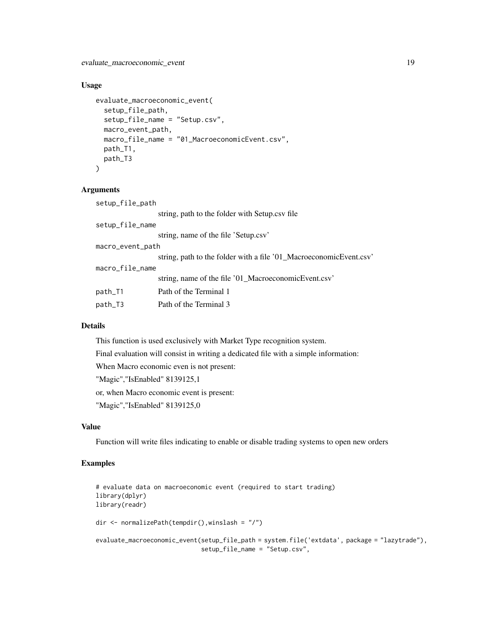#### Usage

```
evaluate_macroeconomic_event(
  setup_file_path,
  setup_file_name = "Setup.csv",
 macro_event_path,
 macro_file_name = "01_MacroeconomicEvent.csv",
 path_T1,
 path_T3
\lambda
```
#### Arguments

| setup_file_path  |                                                                    |
|------------------|--------------------------------------------------------------------|
|                  | string, path to the folder with Setup.csv file                     |
| setup_file_name  |                                                                    |
|                  | string, name of the file 'Setup.csv'                               |
| macro_event_path |                                                                    |
|                  | string, path to the folder with a file '01_MacroeconomicEvent.csv' |
| macro_file_name  |                                                                    |
|                  | string, name of the file '01_MacroeconomicEvent.csv'               |
| path_T1          | Path of the Terminal 1                                             |
| $path_$ T3       | Path of the Terminal 3                                             |
|                  |                                                                    |

#### Details

This function is used exclusively with Market Type recognition system.

Final evaluation will consist in writing a dedicated file with a simple information:

When Macro economic even is not present:

"Magic","IsEnabled" 8139125,1

or, when Macro economic event is present:

"Magic","IsEnabled" 8139125,0

#### Value

Function will write files indicating to enable or disable trading systems to open new orders

```
# evaluate data on macroeconomic event (required to start trading)
library(dplyr)
library(readr)
dir <- normalizePath(tempdir(),winslash = "/")
evaluate_macroeconomic_event(setup_file_path = system.file('extdata', package = "lazytrade"),
                             setup_file_name = "Setup.csv",
```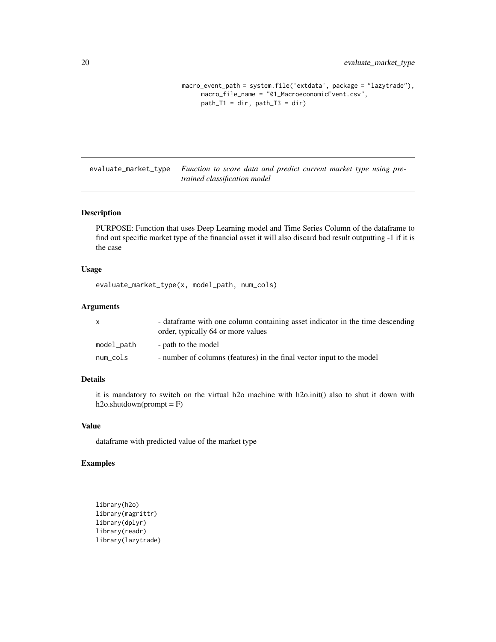```
macro_event_path = system.file('extdata', package = "lazytrade"),
     macro_file_name = "01_MacroeconomicEvent.csv",
     path_T1 = dir, path_T3 = dir)
```
evaluate\_market\_type *Function to score data and predict current market type using pretrained classification model*

#### Description

PURPOSE: Function that uses Deep Learning model and Time Series Column of the dataframe to find out specific market type of the financial asset it will also discard bad result outputting -1 if it is the case

#### Usage

```
evaluate_market_type(x, model_path, num_cols)
```
#### Arguments

| x          | - dataframe with one column containing asset indicator in the time descending<br>order, typically 64 or more values |
|------------|---------------------------------------------------------------------------------------------------------------------|
| model_path | - path to the model                                                                                                 |
| num_cols   | - number of columns (features) in the final vector input to the model                                               |

#### Details

it is mandatory to switch on the virtual h2o machine with h2o.init() also to shut it down with  $h2o.shutdown(prompt = F)$ 

#### Value

dataframe with predicted value of the market type

```
library(h2o)
library(magrittr)
library(dplyr)
library(readr)
library(lazytrade)
```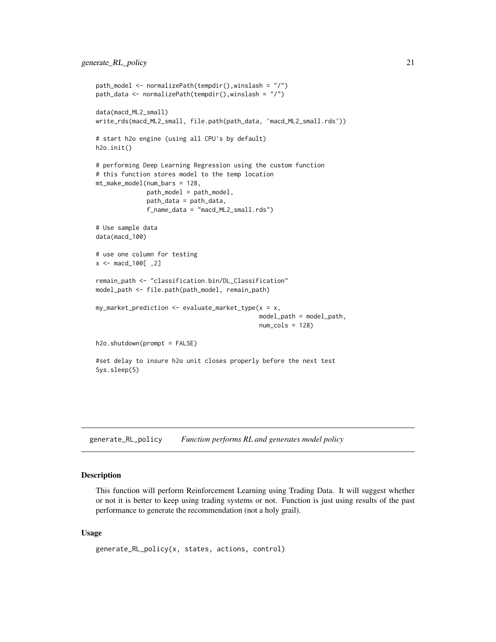```
path_model <- normalizePath(tempdir(),winslash = "/")
path_data <- normalizePath(tempdir(),winslash = "/")
data(macd_ML2_small)
write_rds(macd_ML2_small, file.path(path_data, 'macd_ML2_small.rds'))
# start h2o engine (using all CPU's by default)
h2o.init()
# performing Deep Learning Regression using the custom function
# this function stores model to the temp location
mt_make_model(num_bars = 128,
              path_model = path_model,
              path_data = path_data,
              f_name_data = "macd_ML2_small.rds")
# Use sample data
data(macd_100)
# use one column for testing
x <- macd_100[ ,2]
remain_path <- "classification.bin/DL_Classification"
model_path <- file.path(path_model, remain_path)
my_matrix\_prediction \leftarrow evaluate_matrix\_type(x = x,model_path = model_path,
                                              num\_cols = 128h2o.shutdown(prompt = FALSE)
#set delay to insure h2o unit closes properly before the next test
Sys.sleep(5)
```
generate\_RL\_policy *Function performs RL and generates model policy*

#### Description

This function will perform Reinforcement Learning using Trading Data. It will suggest whether or not it is better to keep using trading systems or not. Function is just using results of the past performance to generate the recommendation (not a holy grail).

#### Usage

```
generate_RL_policy(x, states, actions, control)
```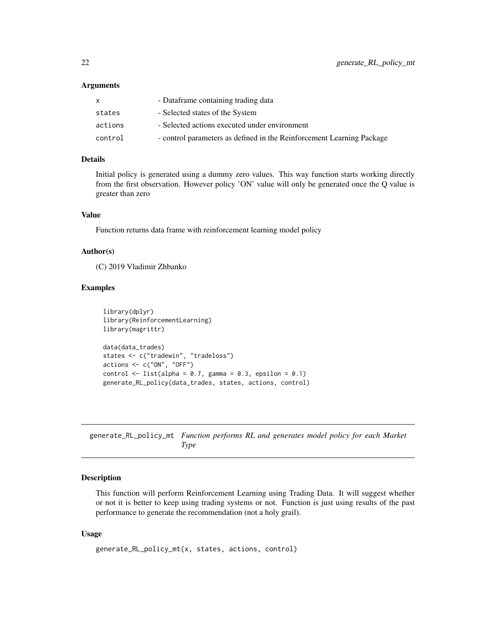#### <span id="page-21-0"></span>**Arguments**

|         | - Dataframe containing trading data                                   |
|---------|-----------------------------------------------------------------------|
| states  | - Selected states of the System                                       |
| actions | - Selected actions executed under environment                         |
| control | - control parameters as defined in the Reinforcement Learning Package |

#### Details

Initial policy is generated using a dummy zero values. This way function starts working directly from the first observation. However policy 'ON' value will only be generated once the Q value is greater than zero

#### Value

Function returns data frame with reinforcement learning model policy

#### Author(s)

(C) 2019 Vladimir Zhbanko

#### Examples

```
library(dplyr)
library(ReinforcementLearning)
library(magrittr)
data(data_trades)
states <- c("tradewin", "tradeloss")
actions <- c("ON", "OFF")
control \le list(alpha = 0.7, gamma = 0.3, epsilon = 0.1)
generate_RL_policy(data_trades, states, actions, control)
```
generate\_RL\_policy\_mt *Function performs RL and generates model policy for each Market Type*

#### Description

This function will perform Reinforcement Learning using Trading Data. It will suggest whether or not it is better to keep using trading systems or not. Function is just using results of the past performance to generate the recommendation (not a holy grail).

#### Usage

```
generate_RL_policy_mt(x, states, actions, control)
```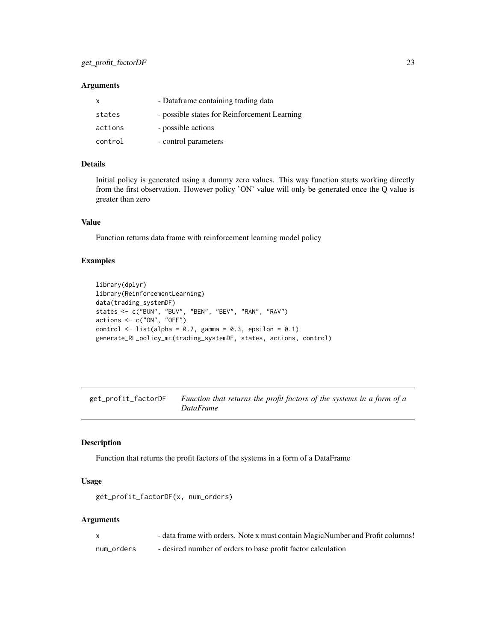#### <span id="page-22-0"></span>Arguments

| x       | - Dataframe containing trading data          |
|---------|----------------------------------------------|
| states  | - possible states for Reinforcement Learning |
| actions | - possible actions                           |
| control | - control parameters                         |

#### Details

Initial policy is generated using a dummy zero values. This way function starts working directly from the first observation. However policy 'ON' value will only be generated once the Q value is greater than zero

#### Value

Function returns data frame with reinforcement learning model policy

#### Examples

```
library(dplyr)
library(ReinforcementLearning)
data(trading_systemDF)
states <- c("BUN", "BUV", "BEN", "BEV", "RAN", "RAV")
actions <- c("ON", "OFF")
control \le list(alpha = 0.7, gamma = 0.3, epsilon = 0.1)
generate_RL_policy_mt(trading_systemDF, states, actions, control)
```
get\_profit\_factorDF *Function that returns the profit factors of the systems in a form of a DataFrame*

#### Description

Function that returns the profit factors of the systems in a form of a DataFrame

#### Usage

```
get_profit_factorDF(x, num_orders)
```
#### Arguments

|            | - data frame with orders. Note x must contain MagicNumber and Profit columns! |
|------------|-------------------------------------------------------------------------------|
| num_orders | - desired number of orders to base profit factor calculation                  |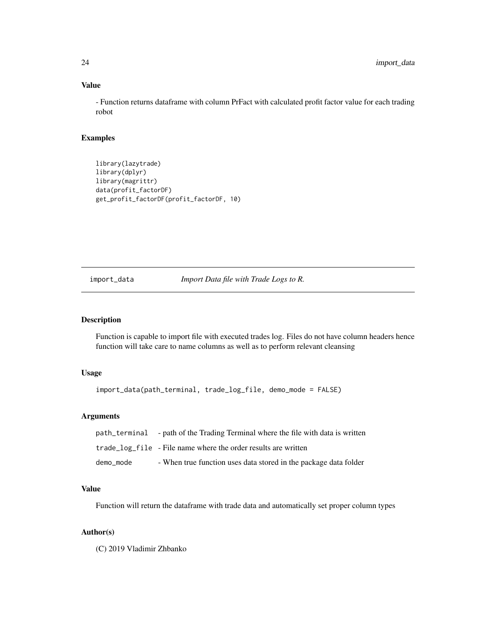#### Value

- Function returns dataframe with column PrFact with calculated profit factor value for each trading robot

#### Examples

```
library(lazytrade)
library(dplyr)
library(magrittr)
data(profit_factorDF)
get_profit_factorDF(profit_factorDF, 10)
```
import\_data *Import Data file with Trade Logs to R.*

#### Description

Function is capable to import file with executed trades log. Files do not have column headers hence function will take care to name columns as well as to perform relevant cleansing

#### Usage

```
import_data(path_terminal, trade_log_file, demo_mode = FALSE)
```
#### Arguments

|           | path_terminal - path of the Trading Terminal where the file with data is written |
|-----------|----------------------------------------------------------------------------------|
|           | trade_log_file - File name where the order results are written                   |
| demo mode | - When true function uses data stored in the package data folder                 |

#### Value

Function will return the dataframe with trade data and automatically set proper column types

#### Author(s)

(C) 2019 Vladimir Zhbanko

<span id="page-23-0"></span>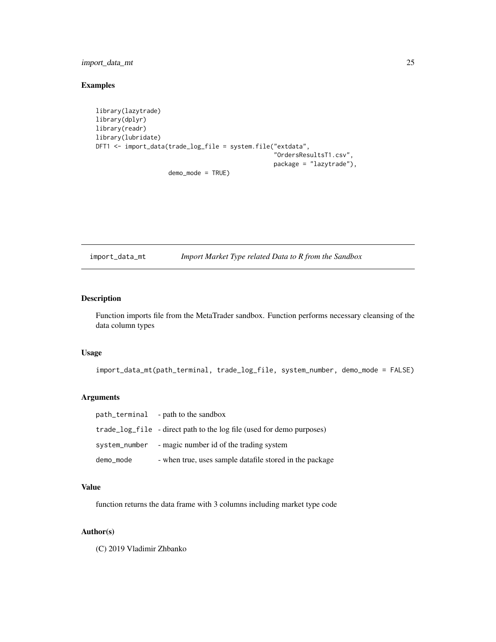#### <span id="page-24-0"></span>import\_data\_mt 25

#### Examples

```
library(lazytrade)
library(dplyr)
library(readr)
library(lubridate)
DFT1 <- import_data(trade_log_file = system.file("extdata",
                                                 "OrdersResultsT1.csv",
                                                 package = "lazytrade"),
```
demo\_mode = TRUE)

import\_data\_mt *Import Market Type related Data to R from the Sandbox*

#### Description

Function imports file from the MetaTrader sandbox. Function performs necessary cleansing of the data column types

#### Usage

import\_data\_mt(path\_terminal, trade\_log\_file, system\_number, demo\_mode = FALSE)

#### Arguments

|           | path_terminal - path to the sandbox                                   |
|-----------|-----------------------------------------------------------------------|
|           | trade_log_file - direct path to the log file (used for demo purposes) |
|           | system_number - magic number id of the trading system                 |
| demo_mode | - when true, uses sample datafile stored in the package               |

#### Value

function returns the data frame with 3 columns including market type code

#### Author(s)

(C) 2019 Vladimir Zhbanko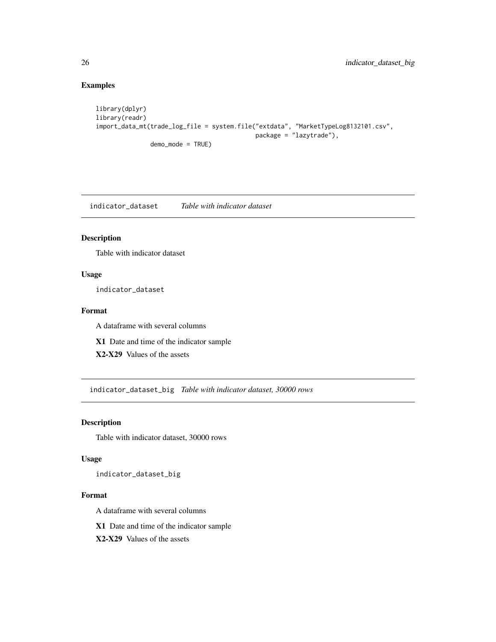#### Examples

```
library(dplyr)
library(readr)
import_data_mt(trade_log_file = system.file("extdata", "MarketTypeLog8132101.csv",
                                            package = "lazytrade"),
               demo_mode = TRUE)
```
indicator\_dataset *Table with indicator dataset*

#### Description

Table with indicator dataset

#### Usage

indicator\_dataset

#### Format

A dataframe with several columns

X1 Date and time of the indicator sample

X2-X29 Values of the assets

indicator\_dataset\_big *Table with indicator dataset, 30000 rows*

#### Description

Table with indicator dataset, 30000 rows

#### Usage

indicator\_dataset\_big

#### Format

A dataframe with several columns

X1 Date and time of the indicator sample

X2-X29 Values of the assets

<span id="page-25-0"></span>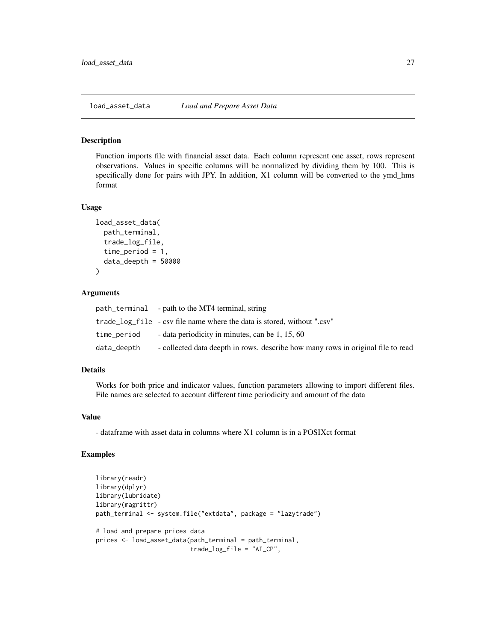<span id="page-26-0"></span>

Function imports file with financial asset data. Each column represent one asset, rows represent observations. Values in specific columns will be normalized by dividing them by 100. This is specifically done for pairs with JPY. In addition, X1 column will be converted to the ymd\_hms format

#### Usage

```
load_asset_data(
 path_terminal,
  trade_log_file,
  time_period = 1,
  data deepth = 50000
)
```
#### Arguments

|             | path_terminal - path to the MT4 terminal, string                                   |
|-------------|------------------------------------------------------------------------------------|
|             | $\text{trade\_log\_file}$ - csv file name where the data is stored, without ".csv" |
| time_period | - data periodicity in minutes, can be 1, 15, 60                                    |
| data_deepth | - collected data deepth in rows. describe how many rows in original file to read   |

#### Details

Works for both price and indicator values, function parameters allowing to import different files. File names are selected to account different time periodicity and amount of the data

#### Value

- dataframe with asset data in columns where X1 column is in a POSIXct format

```
library(readr)
library(dplyr)
library(lubridate)
library(magrittr)
path_terminal <- system.file("extdata", package = "lazytrade")
# load and prepare prices data
prices <- load_asset_data(path_terminal = path_terminal,
                          trade_log_file = "AI_CP",
```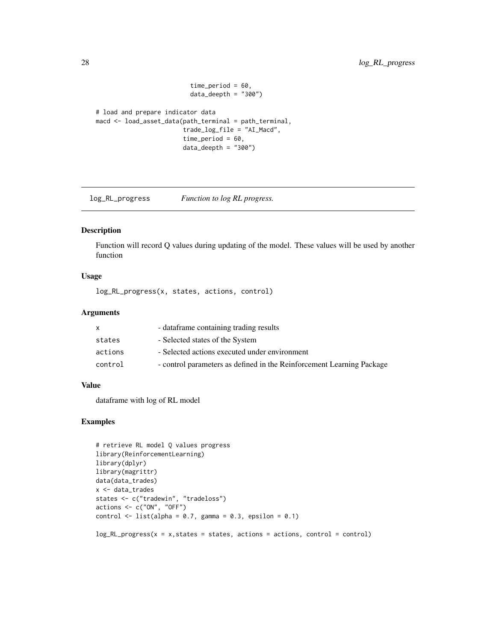```
time_period = 60,
                          data_deepth = "300")
# load and prepare indicator data
macd <- load_asset_data(path_terminal = path_terminal,
                        trade_log_file = "AI_Macd",
                        time_period = 60,
                        data_deepth = "300")
```
log\_RL\_progress *Function to log RL progress.*

#### Description

Function will record Q values during updating of the model. These values will be used by another function

#### Usage

log\_RL\_progress(x, states, actions, control)

#### Arguments

|         | - dataframe containing trading results                                |
|---------|-----------------------------------------------------------------------|
| states  | - Selected states of the System                                       |
| actions | - Selected actions executed under environment                         |
| control | - control parameters as defined in the Reinforcement Learning Package |

#### Value

dataframe with log of RL model

```
# retrieve RL model Q values progress
library(ReinforcementLearning)
library(dplyr)
library(magrittr)
data(data_trades)
x <- data_trades
states <- c("tradewin", "tradeloss")
actions < -c("ON", "OFF")control \le list(alpha = 0.7, gamma = 0.3, epsilon = 0.1)
log_R L_progress(x = x, states = states, actions = actions, control = control)
```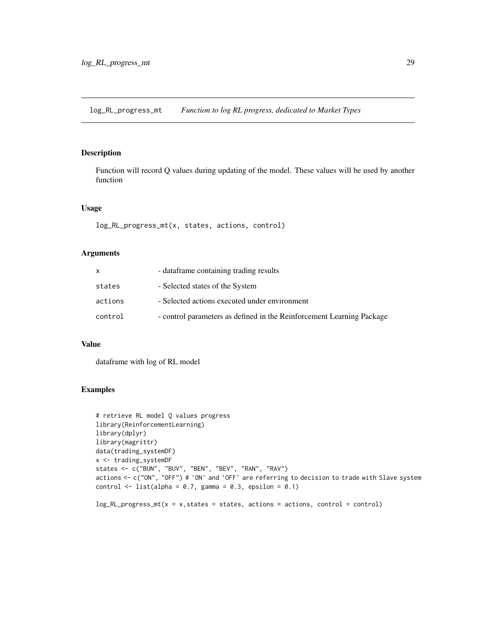<span id="page-28-0"></span>log\_RL\_progress\_mt *Function to log RL progress, dedicated to Market Types*

#### Description

Function will record Q values during updating of the model. These values will be used by another function

#### Usage

```
log_RL_progress_mt(x, states, actions, control)
```
#### Arguments

|         | - dataframe containing trading results                                |
|---------|-----------------------------------------------------------------------|
| states  | - Selected states of the System                                       |
| actions | - Selected actions executed under environment                         |
| control | - control parameters as defined in the Reinforcement Learning Package |

#### Value

dataframe with log of RL model

```
# retrieve RL model Q values progress
library(ReinforcementLearning)
library(dplyr)
library(magrittr)
data(trading_systemDF)
x <- trading_systemDF
states <- c("BUN", "BUV", "BEN", "BEV", "RAN", "RAV")
actions <- c("ON", "OFF") # 'ON' and 'OFF' are referring to decision to trade with Slave system
control \le list(alpha = 0.7, gamma = 0.3, epsilon = 0.1)
```

```
log_R L_progress_mt(x = x, states = states, actions = actions, control = control)
```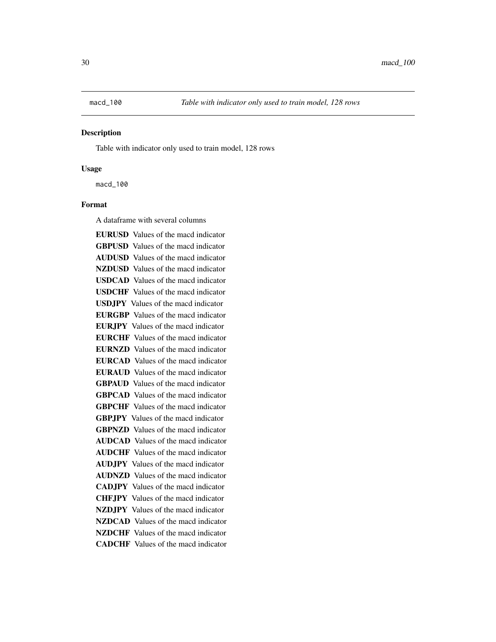<span id="page-29-0"></span>

Table with indicator only used to train model, 128 rows

#### Usage

macd\_100

#### Format

A dataframe with several columns

EURUSD Values of the macd indicator GBPUSD Values of the macd indicator AUDUSD Values of the macd indicator NZDUSD Values of the macd indicator USDCAD Values of the macd indicator USDCHF Values of the macd indicator USDJPY Values of the macd indicator EURGBP Values of the macd indicator EURJPY Values of the macd indicator EURCHF Values of the macd indicator EURNZD Values of the macd indicator EURCAD Values of the macd indicator EURAUD Values of the macd indicator GBPAUD Values of the macd indicator GBPCAD Values of the macd indicator GBPCHF Values of the macd indicator GBPJPY Values of the macd indicator GBPNZD Values of the macd indicator AUDCAD Values of the macd indicator AUDCHF Values of the macd indicator AUDJPY Values of the macd indicator AUDNZD Values of the macd indicator CADJPY Values of the macd indicator CHFJPY Values of the macd indicator NZDJPY Values of the macd indicator NZDCAD Values of the macd indicator NZDCHF Values of the macd indicator CADCHF Values of the macd indicator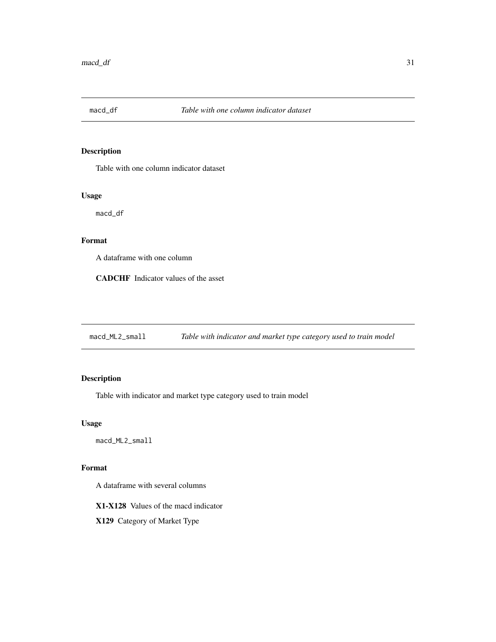<span id="page-30-0"></span>

Table with one column indicator dataset

#### Usage

macd\_df

#### Format

A dataframe with one column

CADCHF Indicator values of the asset

macd\_ML2\_small *Table with indicator and market type category used to train model*

#### Description

Table with indicator and market type category used to train model

#### Usage

macd\_ML2\_small

#### Format

A dataframe with several columns

X1-X128 Values of the macd indicator

X129 Category of Market Type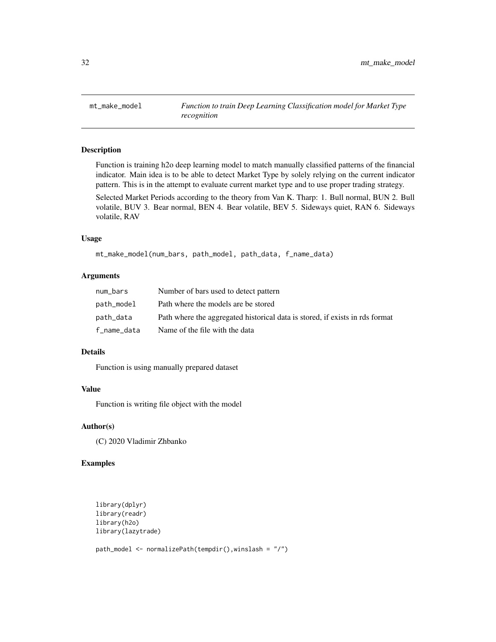<span id="page-31-0"></span>

Function is training h2o deep learning model to match manually classified patterns of the financial indicator. Main idea is to be able to detect Market Type by solely relying on the current indicator pattern. This is in the attempt to evaluate current market type and to use proper trading strategy.

Selected Market Periods according to the theory from Van K. Tharp: 1. Bull normal, BUN 2. Bull volatile, BUV 3. Bear normal, BEN 4. Bear volatile, BEV 5. Sideways quiet, RAN 6. Sideways volatile, RAV

#### Usage

```
mt_make_model(num_bars, path_model, path_data, f_name_data)
```
#### Arguments

| num_bars    | Number of bars used to detect pattern                                        |
|-------------|------------------------------------------------------------------------------|
| path_model  | Path where the models are be stored                                          |
| path_data   | Path where the aggregated historical data is stored, if exists in rds format |
| f_name_data | Name of the file with the data                                               |

#### Details

Function is using manually prepared dataset

#### Value

Function is writing file object with the model

#### Author(s)

(C) 2020 Vladimir Zhbanko

```
library(dplyr)
library(readr)
library(h2o)
library(lazytrade)
path_model <- normalizePath(tempdir(),winslash = "/")
```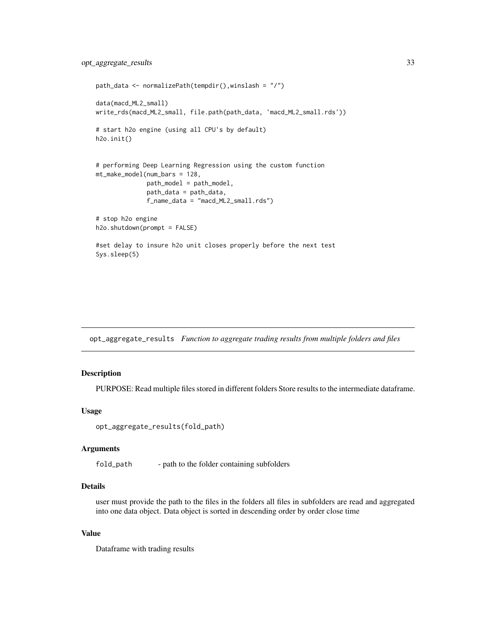```
path_data <- normalizePath(tempdir(),winslash = "/")
data(macd_ML2_small)
write_rds(macd_ML2_small, file.path(path_data, 'macd_ML2_small.rds'))
# start h2o engine (using all CPU's by default)
h2o.init()
# performing Deep Learning Regression using the custom function
mt_make_model(num_bars = 128,
              path_model = path_model,
              path_data = path_data,
              f_name_data = "macd_ML2_small.rds")
# stop h2o engine
h2o.shutdown(prompt = FALSE)
#set delay to insure h2o unit closes properly before the next test
Sys.sleep(5)
```
opt\_aggregate\_results *Function to aggregate trading results from multiple folders and files*

#### Description

PURPOSE: Read multiple files stored in different folders Store results to the intermediate dataframe.

#### Usage

```
opt_aggregate_results(fold_path)
```
#### Arguments

fold\_path - path to the folder containing subfolders

#### Details

user must provide the path to the files in the folders all files in subfolders are read and aggregated into one data object. Data object is sorted in descending order by order close time

#### Value

Dataframe with trading results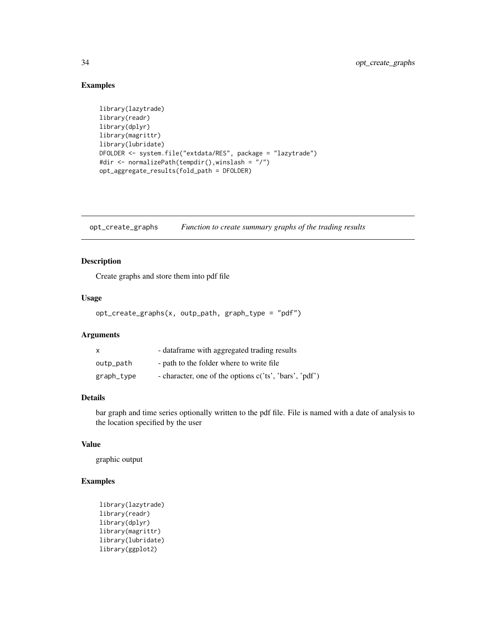#### Examples

```
library(lazytrade)
library(readr)
library(dplyr)
library(magrittr)
library(lubridate)
DFOLDER <- system.file("extdata/RES", package = "lazytrade")
#dir <- normalizePath(tempdir(),winslash = "/")
opt_aggregate_results(fold_path = DFOLDER)
```
opt\_create\_graphs *Function to create summary graphs of the trading results*

#### Description

Create graphs and store them into pdf file

#### Usage

```
opt_create_graphs(x, outp_path, graph_type = "pdf")
```
#### Arguments

| x          | - dataframe with aggregated trading results            |
|------------|--------------------------------------------------------|
| outp_path  | - path to the folder where to write file               |
| graph_type | - character, one of the options c('ts', 'bars', 'pdf') |

#### Details

bar graph and time series optionally written to the pdf file. File is named with a date of analysis to the location specified by the user

#### Value

graphic output

```
library(lazytrade)
library(readr)
library(dplyr)
library(magrittr)
library(lubridate)
library(ggplot2)
```
<span id="page-33-0"></span>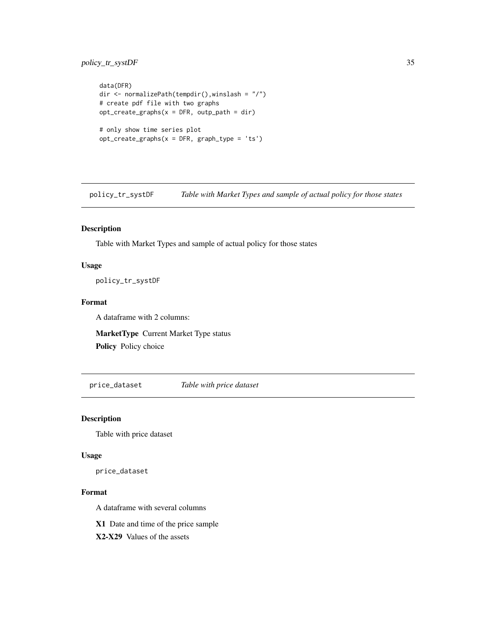#### <span id="page-34-0"></span>policy\_tr\_systDF 35

```
data(DFR)
dir <- normalizePath(tempdir(),winslash = "/")
# create pdf file with two graphs
opt\_create\_graphs(x = DFR, outp\_path = dir)# only show time series plot
opt_create_graphs(x = DFR, graph_type = 'ts')
```
policy\_tr\_systDF *Table with Market Types and sample of actual policy for those states*

#### Description

Table with Market Types and sample of actual policy for those states

#### Usage

policy\_tr\_systDF

#### Format

A dataframe with 2 columns:

MarketType Current Market Type status

Policy Policy choice

price\_dataset *Table with price dataset*

#### Description

Table with price dataset

#### Usage

price\_dataset

#### Format

A dataframe with several columns

X1 Date and time of the price sample

X2-X29 Values of the assets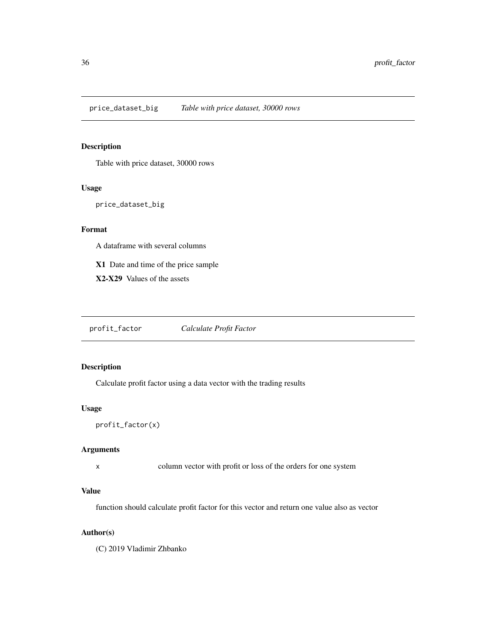<span id="page-35-0"></span>price\_dataset\_big *Table with price dataset, 30000 rows*

#### Description

Table with price dataset, 30000 rows

#### Usage

price\_dataset\_big

#### Format

A dataframe with several columns

X1 Date and time of the price sample

X2-X29 Values of the assets

profit\_factor *Calculate Profit Factor*

#### Description

Calculate profit factor using a data vector with the trading results

#### Usage

```
profit_factor(x)
```
#### Arguments

x column vector with profit or loss of the orders for one system

#### Value

function should calculate profit factor for this vector and return one value also as vector

#### Author(s)

(C) 2019 Vladimir Zhbanko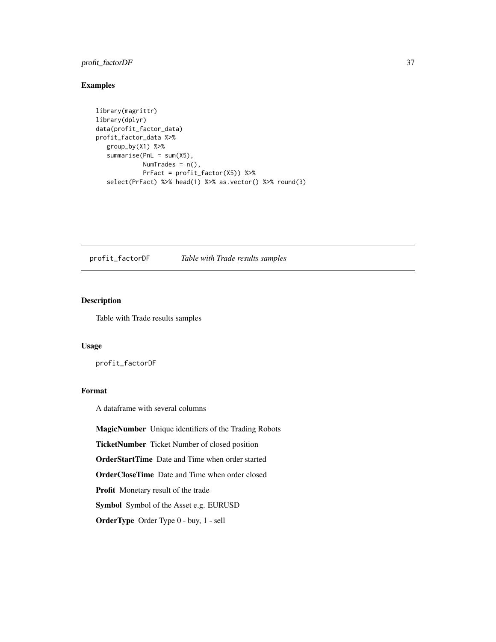#### <span id="page-36-0"></span>profit\_factorDF 37

#### Examples

```
library(magrittr)
library(dplyr)
data(profit_factor_data)
profit_factor_data %>%
   group_by(X1) %>%
   summarise(PnL = sum(X5),
            NumTrades = n(),
             PrFact = profit_factor(X5)) %>%
   select(PrFact) %>% head(1) %>% as.vector() %>% round(3)
```
profit\_factorDF *Table with Trade results samples*

#### Description

Table with Trade results samples

#### Usage

profit\_factorDF

#### Format

A dataframe with several columns

MagicNumber Unique identifiers of the Trading Robots

TicketNumber Ticket Number of closed position

OrderStartTime Date and Time when order started

OrderCloseTime Date and Time when order closed

Profit Monetary result of the trade

Symbol Symbol of the Asset e.g. EURUSD

OrderType Order Type 0 - buy, 1 - sell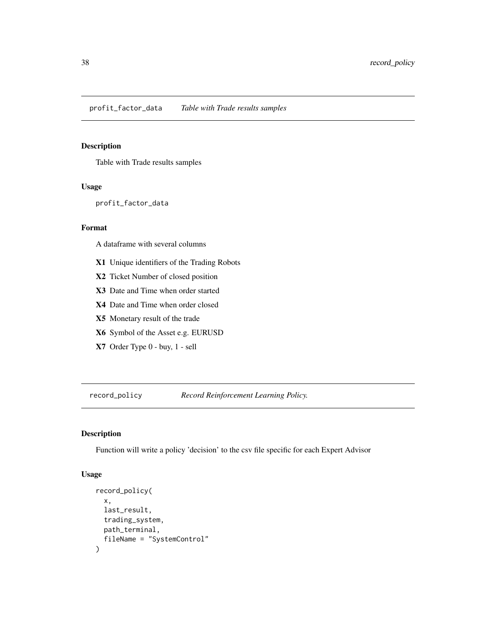<span id="page-37-0"></span>Table with Trade results samples

#### Usage

profit\_factor\_data

#### Format

A dataframe with several columns

- X1 Unique identifiers of the Trading Robots
- X2 Ticket Number of closed position
- X3 Date and Time when order started
- X4 Date and Time when order closed
- X5 Monetary result of the trade
- X6 Symbol of the Asset e.g. EURUSD
- X7 Order Type 0 buy, 1 sell

record\_policy *Record Reinforcement Learning Policy.*

### Description

Function will write a policy 'decision' to the csv file specific for each Expert Advisor

#### Usage

```
record_policy(
  x,
  last_result,
  trading_system,
 path_terminal,
  fileName = "SystemControl"
\mathcal{E}
```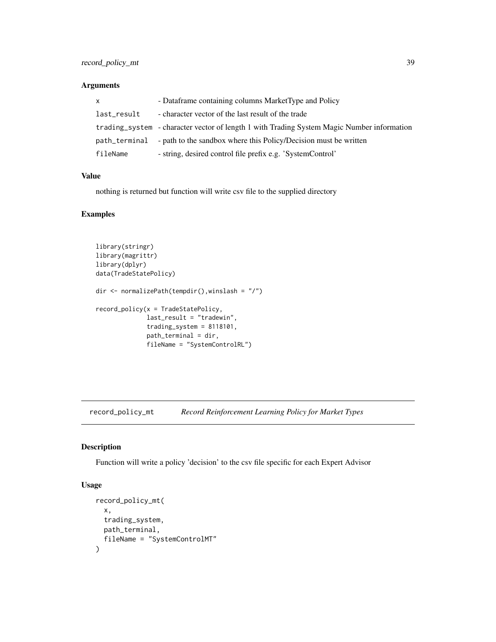#### <span id="page-38-0"></span>Arguments

| x           | - Dataframe containing columns MarketType and Policy                                       |
|-------------|--------------------------------------------------------------------------------------------|
| last_result | - character vector of the last result of the trade                                         |
|             | trading_system - character vector of length 1 with Trading System Magic Number information |
|             | path_terminal - path to the sandbox where this Policy/Decision must be written             |
| fileName    | - string, desired control file prefix e.g. 'SystemControl'                                 |

#### Value

nothing is returned but function will write csv file to the supplied directory

#### Examples

```
library(stringr)
library(magrittr)
library(dplyr)
data(TradeStatePolicy)
dir <- normalizePath(tempdir(),winslash = "/")
record_policy(x = TradeStatePolicy,
              last_result = "tradewin",
              trading_system = 8118101,
              path_terminal = dir,
              fileName = "SystemControlRL")
```
record\_policy\_mt *Record Reinforcement Learning Policy for Market Types*

#### Description

Function will write a policy 'decision' to the csv file specific for each Expert Advisor

#### Usage

```
record_policy_mt(
 x,
  trading_system,
 path_terminal,
  fileName = "SystemControlMT"
\mathcal{E}
```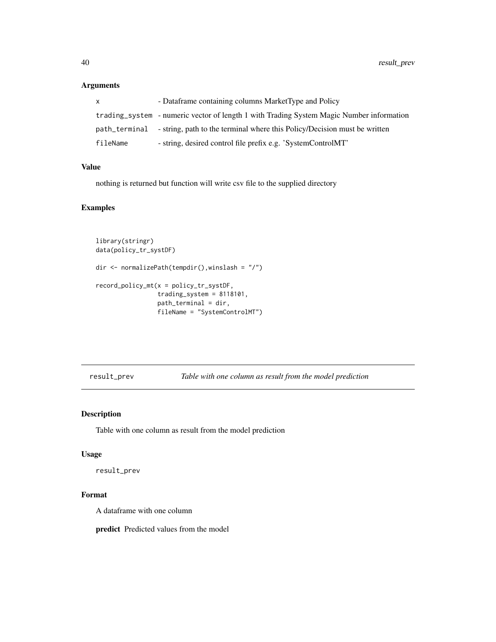#### <span id="page-39-0"></span>Arguments

| X             | - Dataframe containing columns MarketType and Policy                                     |
|---------------|------------------------------------------------------------------------------------------|
|               | trading_system - numeric vector of length 1 with Trading System Magic Number information |
| path_terminal | - string, path to the terminal where this Policy/Decision must be written                |
| fileName      | - string, desired control file prefix e.g. 'SystemControlMT'                             |

#### Value

nothing is returned but function will write csv file to the supplied directory

#### Examples

```
library(stringr)
data(policy_tr_systDF)
dir <- normalizePath(tempdir(),winslash = "/")
record_policy_mt(x = policy_tr_systDF,
                 trading_system = 8118101,
                 path_terminal = dir,
                 fileName = "SystemControlMT")
```
result\_prev *Table with one column as result from the model prediction*

### Description

Table with one column as result from the model prediction

#### Usage

result\_prev

#### Format

A dataframe with one column

predict Predicted values from the model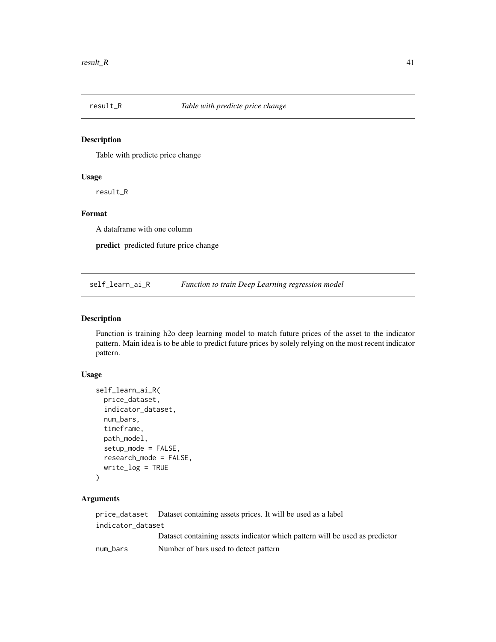<span id="page-40-0"></span>

Table with predicte price change

#### Usage

result\_R

#### Format

A dataframe with one column

predict predicted future price change

self\_learn\_ai\_R *Function to train Deep Learning regression model*

#### Description

Function is training h2o deep learning model to match future prices of the asset to the indicator pattern. Main idea is to be able to predict future prices by solely relying on the most recent indicator pattern.

#### Usage

```
self_learn_ai_R(
 price_dataset,
  indicator_dataset,
  num_bars,
  timeframe,
 path_model,
  setup_mode = FALSE,
  research_mode = FALSE,
 write_log = TRUE
)
```
#### Arguments

price\_dataset Dataset containing assets prices. It will be used as a label indicator\_dataset Dataset containing assets indicator which pattern will be used as predictor num\_bars Number of bars used to detect pattern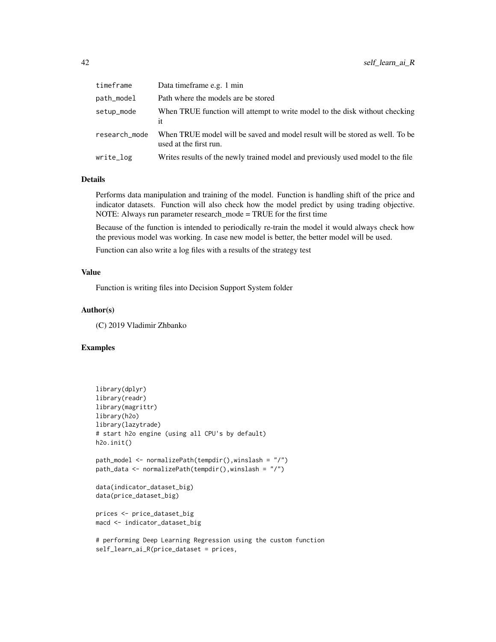| timeframe     | Data timeframe e.g. 1 min                                                                              |
|---------------|--------------------------------------------------------------------------------------------------------|
| path_model    | Path where the models are be stored                                                                    |
| setup_mode    | When TRUE function will attempt to write model to the disk without checking<br>it                      |
| research_mode | When TRUE model will be saved and model result will be stored as well. To be<br>used at the first run. |
| write_log     | Writes results of the newly trained model and previously used model to the file                        |

#### Details

Performs data manipulation and training of the model. Function is handling shift of the price and indicator datasets. Function will also check how the model predict by using trading objective. NOTE: Always run parameter research\_mode = TRUE for the first time

Because of the function is intended to periodically re-train the model it would always check how the previous model was working. In case new model is better, the better model will be used.

Function can also write a log files with a results of the strategy test

#### Value

Function is writing files into Decision Support System folder

#### Author(s)

(C) 2019 Vladimir Zhbanko

#### Examples

```
library(dplyr)
library(readr)
library(magrittr)
library(h2o)
library(lazytrade)
# start h2o engine (using all CPU's by default)
h2o.init()
path_model <- normalizePath(tempdir(),winslash = "/")
path_data <- normalizePath(tempdir(),winslash = "/")
data(indicator_dataset_big)
data(price_dataset_big)
prices <- price_dataset_big
macd <- indicator_dataset_big
```
# performing Deep Learning Regression using the custom function self\_learn\_ai\_R(price\_dataset = prices,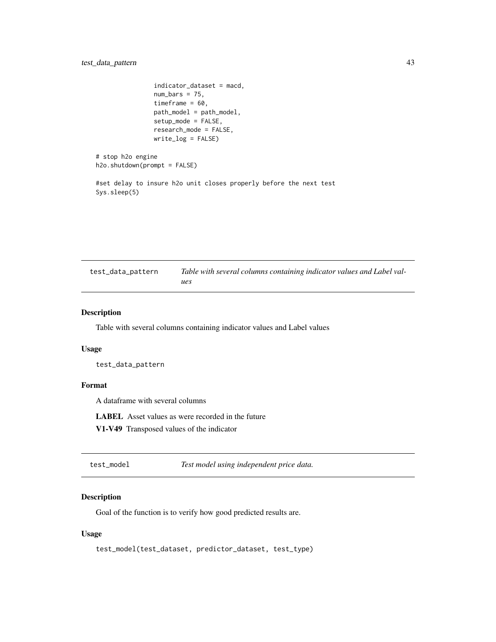```
indicator_dataset = macd,
num_bars = 75,
timeframe = 60,
path_model = path_model,
setup_mode = FALSE,
research_mode = FALSE,
write_log = FALSE)
```

```
# stop h2o engine
h2o.shutdown(prompt = FALSE)
```
#set delay to insure h2o unit closes properly before the next test Sys.sleep(5)

| test_data_pattern | Table with several columns containing indicator values and Label val- |
|-------------------|-----------------------------------------------------------------------|
|                   | ues                                                                   |

#### Description

Table with several columns containing indicator values and Label values

#### Usage

test\_data\_pattern

#### Format

A dataframe with several columns

LABEL Asset values as were recorded in the future

V1-V49 Transposed values of the indicator

test\_model *Test model using independent price data.*

#### Description

Goal of the function is to verify how good predicted results are.

#### Usage

```
test_model(test_dataset, predictor_dataset, test_type)
```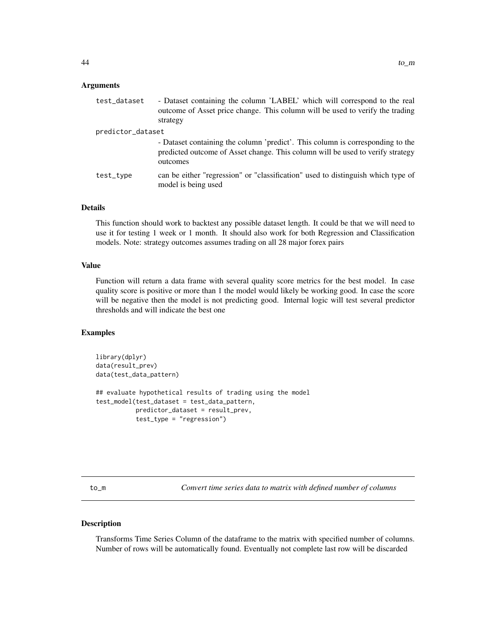#### <span id="page-43-0"></span>**Arguments**

| test_dataset      | - Dataset containing the column 'LABEL' which will correspond to the real<br>outcome of Asset price change. This column will be used to verify the trading<br>strategy       |
|-------------------|------------------------------------------------------------------------------------------------------------------------------------------------------------------------------|
|                   |                                                                                                                                                                              |
| predictor_dataset |                                                                                                                                                                              |
|                   | - Dataset containing the column 'predict'. This column is corresponding to the<br>predicted outcome of Asset change. This column will be used to verify strategy<br>outcomes |
| test_type         | can be either "regression" or "classification" used to distinguish which type of<br>model is being used                                                                      |

#### Details

This function should work to backtest any possible dataset length. It could be that we will need to use it for testing 1 week or 1 month. It should also work for both Regression and Classification models. Note: strategy outcomes assumes trading on all 28 major forex pairs

#### Value

Function will return a data frame with several quality score metrics for the best model. In case quality score is positive or more than 1 the model would likely be working good. In case the score will be negative then the model is not predicting good. Internal logic will test several predictor thresholds and will indicate the best one

#### Examples

```
library(dplyr)
data(result_prev)
data(test_data_pattern)
## evaluate hypothetical results of trading using the model
test_model(test_dataset = test_data_pattern,
           predictor_dataset = result_prev,
           test_type = "regression")
```
to\_m *Convert time series data to matrix with defined number of columns*

#### Description

Transforms Time Series Column of the dataframe to the matrix with specified number of columns. Number of rows will be automatically found. Eventually not complete last row will be discarded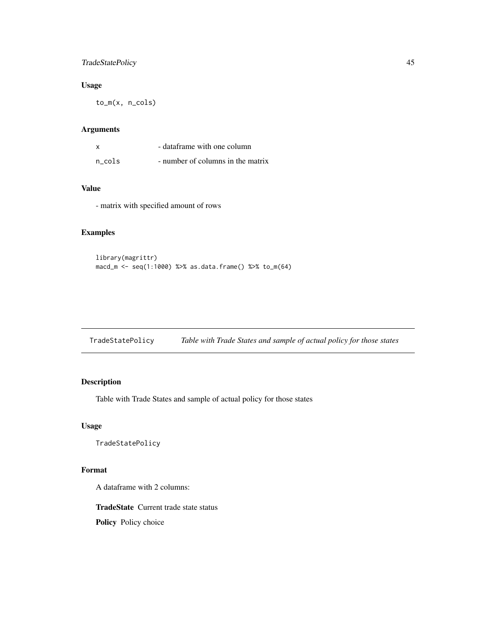#### <span id="page-44-0"></span>TradeStatePolicy 45

#### Usage

to\_m(x, n\_cols)

#### Arguments

|        | - dataframe with one column       |
|--------|-----------------------------------|
| n cols | - number of columns in the matrix |

#### Value

- matrix with specified amount of rows

#### Examples

```
library(magrittr)
macd_m <- seq(1:1000) %>% as.data.frame() %>% to_m(64)
```
TradeStatePolicy *Table with Trade States and sample of actual policy for those states*

#### Description

Table with Trade States and sample of actual policy for those states

#### Usage

TradeStatePolicy

#### Format

A dataframe with 2 columns:

TradeState Current trade state status Policy Policy choice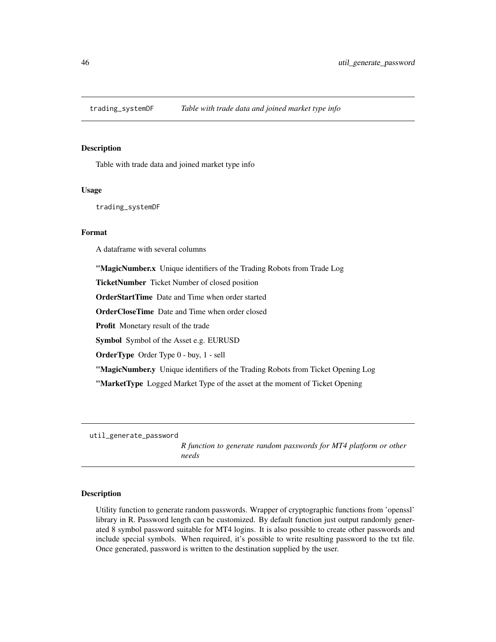<span id="page-45-0"></span>

Table with trade data and joined market type info

#### Usage

trading\_systemDF

#### Format

A dataframe with several columns

"MagicNumber.x Unique identifiers of the Trading Robots from Trade Log

TicketNumber Ticket Number of closed position

OrderStartTime Date and Time when order started

OrderCloseTime Date and Time when order closed

Profit Monetary result of the trade

Symbol Symbol of the Asset e.g. EURUSD

OrderType Order Type 0 - buy, 1 - sell

"MagicNumber.y Unique identifiers of the Trading Robots from Ticket Opening Log

"MarketType Logged Market Type of the asset at the moment of Ticket Opening

util\_generate\_password

*R function to generate random passwords for MT4 platform or other needs*

#### Description

Utility function to generate random passwords. Wrapper of cryptographic functions from 'openssl' library in R. Password length can be customized. By default function just output randomly generated 8 symbol password suitable for MT4 logins. It is also possible to create other passwords and include special symbols. When required, it's possible to write resulting password to the txt file. Once generated, password is written to the destination supplied by the user.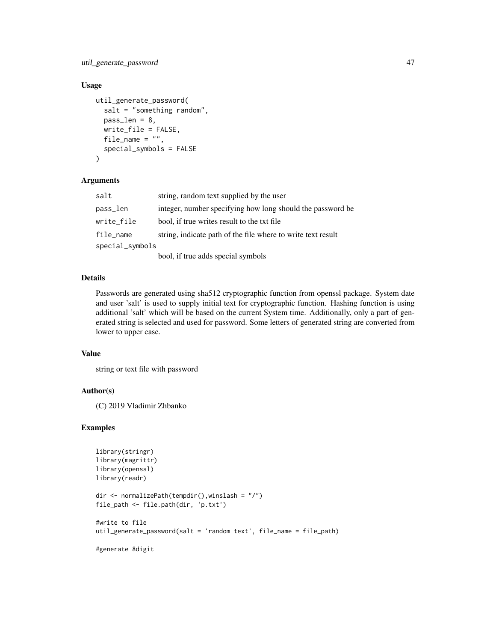util\_generate\_password 47

#### Usage

```
util_generate_password(
  salt = "something random",
  pass_len = 8,
 write_file = FALSE,
  file_name = ",
  special_symbols = FALSE
)
```
#### Arguments

| salt            | string, random text supplied by the user                     |
|-----------------|--------------------------------------------------------------|
| pass_len        | integer, number specifying how long should the password be   |
| write_file      | bool, if true writes result to the txt file.                 |
| file_name       | string, indicate path of the file where to write text result |
| special_symbols |                                                              |
|                 | bool, if true adds special symbols                           |

#### Details

Passwords are generated using sha512 cryptographic function from openssl package. System date and user 'salt' is used to supply initial text for cryptographic function. Hashing function is using additional 'salt' which will be based on the current System time. Additionally, only a part of generated string is selected and used for password. Some letters of generated string are converted from lower to upper case.

#### Value

string or text file with password

#### Author(s)

(C) 2019 Vladimir Zhbanko

```
library(stringr)
library(magrittr)
library(openssl)
library(readr)
dir <- normalizePath(tempdir(),winslash = "/")
file_path <- file.path(dir, 'p.txt')
#write to file
util_generate_password(salt = 'random text', file_name = file_path)
#generate 8digit
```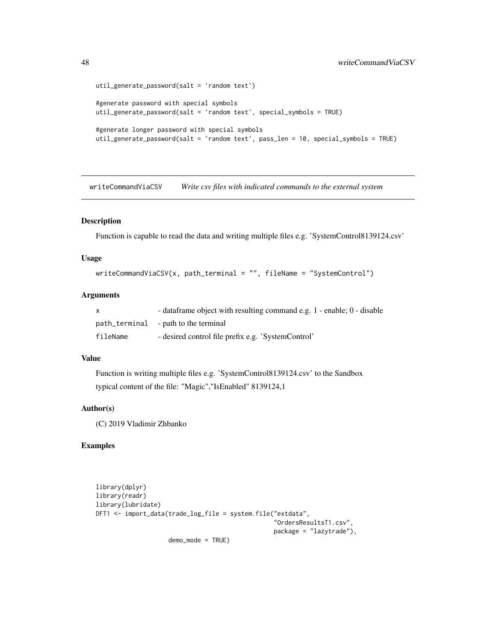```
util_generate_password(salt = 'random text')
#generate password with special symbols
util_generate_password(salt = 'random text', special_symbols = TRUE)
#generate longer password with special symbols
util_generate_password(salt = 'random text', pass_len = 10, special_symbols = TRUE)
```
writeCommandViaCSV *Write csv files with indicated commands to the external system*

#### Description

Function is capable to read the data and writing multiple files e.g. 'SystemControl8139124.csv'

#### Usage

```
writeCommandViaCSV(x, path_terminal = "", fileName = "SystemControl")
```
#### Arguments

|          | - dataframe object with resulting command e.g. 1 - enable; 0 - disable |
|----------|------------------------------------------------------------------------|
|          | path_terminal - path to the terminal                                   |
| fileName | - desired control file prefix e.g. 'SystemControl'                     |

#### Value

Function is writing multiple files e.g. 'SystemControl8139124.csv' to the Sandbox typical content of the file: "Magic","IsEnabled" 8139124,1

#### Author(s)

(C) 2019 Vladimir Zhbanko

```
library(dplyr)
library(readr)
library(lubridate)
DFT1 <- import_data(trade_log_file = system.file("extdata",
                                                  "OrdersResultsT1.csv",
                                                 package = "lazytrade"),
                    demo_mode = TRUE)
```
<span id="page-47-0"></span>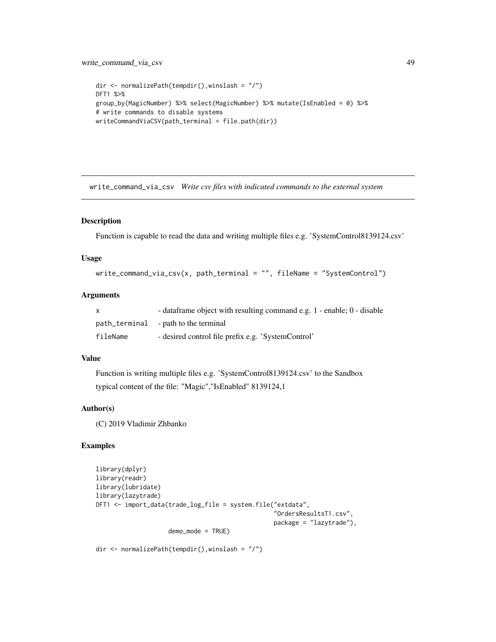```
dir <- normalizePath(tempdir(),winslash = "/")
DFT1 %>%
group_by(MagicNumber) %>% select(MagicNumber) %>% mutate(IsEnabled = 0) %>%
# write commands to disable systems
writeCommandViaCSV(path_terminal = file.path(dir))
```
write\_command\_via\_csv *Write csv files with indicated commands to the external system*

#### Description

Function is capable to read the data and writing multiple files e.g. 'SystemControl8139124.csv'

#### Usage

```
write_command_via_csv(x, path_terminal = "", fileName = "SystemControl")
```
#### Arguments

|          | - dataframe object with resulting command e.g. 1 - enable; 0 - disable |
|----------|------------------------------------------------------------------------|
|          | path_terminal - path to the terminal                                   |
| fileName | - desired control file prefix e.g. 'SystemControl'                     |

#### Value

Function is writing multiple files e.g. 'SystemControl8139124.csv' to the Sandbox typical content of the file: "Magic","IsEnabled" 8139124,1

#### Author(s)

(C) 2019 Vladimir Zhbanko

#### Examples

```
library(dplyr)
library(readr)
library(lubridate)
library(lazytrade)
DFT1 <- import_data(trade_log_file = system.file("extdata",
                                                  "OrdersResultsT1.csv",
                                                  package = "lazytrade"),
                    demo_mode = TRUE)
```
dir <- normalizePath(tempdir(),winslash = "/")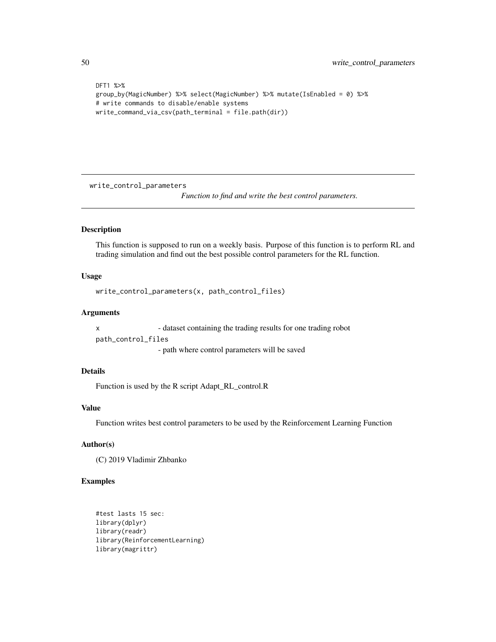```
DFT1 %>%
group_by(MagicNumber) %>% select(MagicNumber) %>% mutate(IsEnabled = 0) %>%
# write commands to disable/enable systems
write_command_via_csv(path_terminal = file.path(dir))
```
write\_control\_parameters

*Function to find and write the best control parameters.*

#### Description

This function is supposed to run on a weekly basis. Purpose of this function is to perform RL and trading simulation and find out the best possible control parameters for the RL function.

#### Usage

```
write_control_parameters(x, path_control_files)
```
#### Arguments

x - dataset containing the trading results for one trading robot path\_control\_files

- path where control parameters will be saved

#### Details

Function is used by the R script Adapt\_RL\_control.R

#### Value

Function writes best control parameters to be used by the Reinforcement Learning Function

#### Author(s)

(C) 2019 Vladimir Zhbanko

```
#test lasts 15 sec:
library(dplyr)
library(readr)
library(ReinforcementLearning)
library(magrittr)
```
<span id="page-49-0"></span>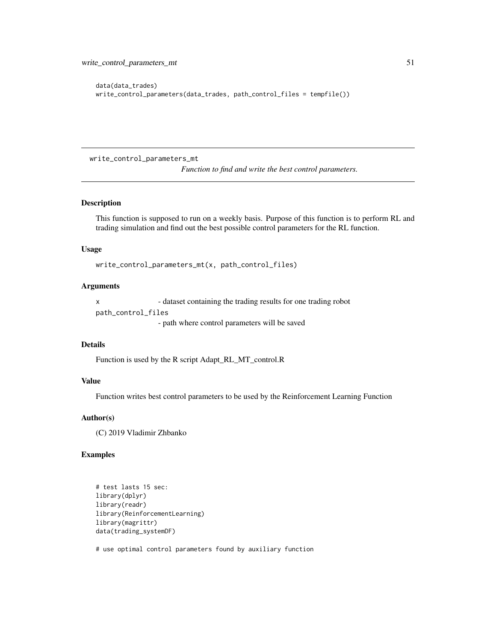```
data(data_trades)
write_control_parameters(data_trades, path_control_files = tempfile())
```
write\_control\_parameters\_mt

*Function to find and write the best control parameters.*

#### Description

This function is supposed to run on a weekly basis. Purpose of this function is to perform RL and trading simulation and find out the best possible control parameters for the RL function.

#### Usage

write\_control\_parameters\_mt(x, path\_control\_files)

#### **Arguments**

x - dataset containing the trading results for one trading robot path\_control\_files - path where control parameters will be saved

Function is used by the R script Adapt\_RL\_MT\_control.R

#### Value

Details

Function writes best control parameters to be used by the Reinforcement Learning Function

#### Author(s)

(C) 2019 Vladimir Zhbanko

#### Examples

```
# test lasts 15 sec:
library(dplyr)
library(readr)
library(ReinforcementLearning)
library(magrittr)
data(trading_systemDF)
```
# use optimal control parameters found by auxiliary function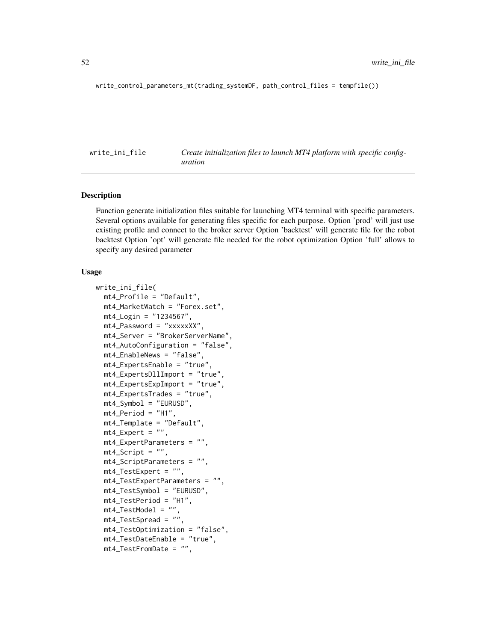<span id="page-51-0"></span>write\_control\_parameters\_mt(trading\_systemDF, path\_control\_files = tempfile())

write\_ini\_file *Create initialization files to launch MT4 platform with specific configuration*

#### Description

Function generate initialization files suitable for launching MT4 terminal with specific parameters. Several options available for generating files specific for each purpose. Option 'prod' will just use existing profile and connect to the broker server Option 'backtest' will generate file for the robot backtest Option 'opt' will generate file needed for the robot optimization Option 'full' allows to specify any desired parameter

#### Usage

```
write_ini_file(
  mt4_Profile = "Default",
  mt4_MarketWatch = "Forex.set",
  mt4_Login = "1234567",
  mt4_Password = "xxxxxXX",
  mt4_Server = "BrokerServerName",
  mt4_AutoConfiguration = "false",
  mt4_EnableNews = "false",
  mt4_ExpertsEnable = "true",
  mt4_ExpertsDllImport = "true",
  mt4_ExpertsExpImport = "true",
  mt4_ExpertsTrades = "true",
  mt4_Symbol = "EURUSD",
  mt4_Period = "H1",
  mt4_Template = "Default",
  mt4<sub>_</sub>Expert = ",
  mt4_ExpertParameters = "",
  mt4<sub>-</sub>Script = ",
  mt4_ScriptParameters = "",
  mt4_TestExpert = "",
  mt4_TestExpertParameters = "",
  mt4_TestSymbol = "EURUSD",
  mt4_TestPeriod = "H1",
  mt4_TestModel = "",
  mt4_TestSpread = "",
  mt4_TestOptimization = "false",
  mt4_TestDateEnable = "true",
  mt4_TestFromDate = "",
```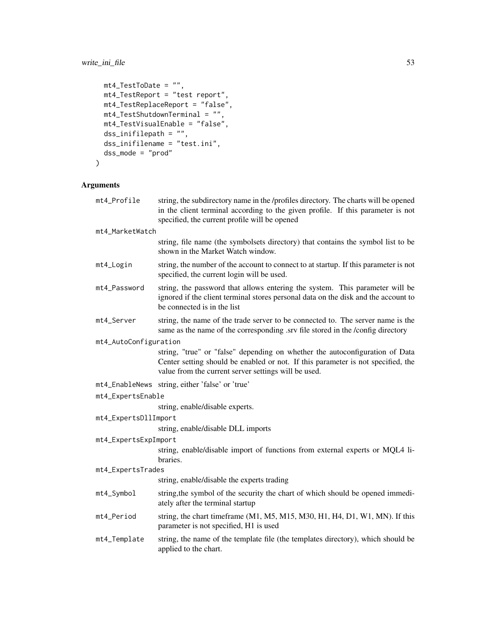#### write\_ini\_file 53

```
mt4_TestToDate = "",
 mt4_TestReport = "test report",
 mt4_TestReplaceReport = "false",
 mt4_TestShutdownTerminal = "",
 mt4_TestVisualEnable = "false",
 dss_inifilepath = "",
 dss_inifilename = "test.ini",
 dss_mode = "prod"
)
```
#### Arguments

| mt4_Profile           | string, the subdirectory name in the /profiles directory. The charts will be opened<br>in the client terminal according to the given profile. If this parameter is not<br>specified, the current profile will be opened  |
|-----------------------|--------------------------------------------------------------------------------------------------------------------------------------------------------------------------------------------------------------------------|
| mt4_MarketWatch       |                                                                                                                                                                                                                          |
|                       | string, file name (the symbolsets directory) that contains the symbol list to be<br>shown in the Market Watch window.                                                                                                    |
| mt4_Login             | string, the number of the account to connect to at startup. If this parameter is not<br>specified, the current login will be used.                                                                                       |
| mt4_Password          | string, the password that allows entering the system. This parameter will be<br>ignored if the client terminal stores personal data on the disk and the account to<br>be connected is in the list                        |
| mt4_Server            | string, the name of the trade server to be connected to. The server name is the<br>same as the name of the corresponding .srv file stored in the /config directory                                                       |
| mt4_AutoConfiguration |                                                                                                                                                                                                                          |
|                       | string, "true" or "false" depending on whether the autoconfiguration of Data<br>Center setting should be enabled or not. If this parameter is not specified, the<br>value from the current server settings will be used. |
|                       | mt4_EnableNews string, either 'false' or 'true'                                                                                                                                                                          |
| mt4_ExpertsEnable     |                                                                                                                                                                                                                          |
|                       | string, enable/disable experts.                                                                                                                                                                                          |
| mt4_ExpertsDllImport  |                                                                                                                                                                                                                          |
|                       | string, enable/disable DLL imports                                                                                                                                                                                       |
| mt4_ExpertsExpImport  |                                                                                                                                                                                                                          |
|                       | string, enable/disable import of functions from external experts or MQL4 li-<br>braries.                                                                                                                                 |
| mt4_ExpertsTrades     |                                                                                                                                                                                                                          |
|                       | string, enable/disable the experts trading                                                                                                                                                                               |
| mt4_Symbol            | string, the symbol of the security the chart of which should be opened immedi-<br>ately after the terminal startup                                                                                                       |
| mt4_Period            | string, the chart timeframe (M1, M5, M15, M30, H1, H4, D1, W1, MN). If this<br>parameter is not specified, H1 is used                                                                                                    |
| mt4_Template          | string, the name of the template file (the templates directory), which should be<br>applied to the chart.                                                                                                                |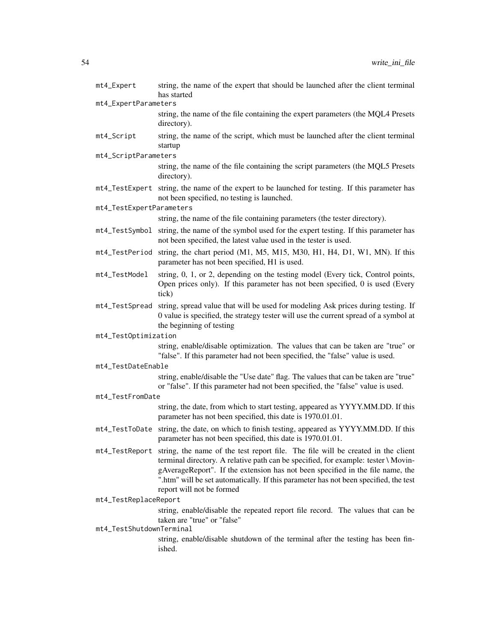| mt4_Expert                                                                                                  | string, the name of the expert that should be launched after the client terminal<br>has started                                                                                                                                                                                                                                                                                              |
|-------------------------------------------------------------------------------------------------------------|----------------------------------------------------------------------------------------------------------------------------------------------------------------------------------------------------------------------------------------------------------------------------------------------------------------------------------------------------------------------------------------------|
| mt4_ExpertParameters                                                                                        |                                                                                                                                                                                                                                                                                                                                                                                              |
|                                                                                                             | string, the name of the file containing the expert parameters (the MQL4 Presets<br>directory).                                                                                                                                                                                                                                                                                               |
| mt4_Script                                                                                                  | string, the name of the script, which must be launched after the client terminal<br>startup                                                                                                                                                                                                                                                                                                  |
| mt4_ScriptParameters                                                                                        |                                                                                                                                                                                                                                                                                                                                                                                              |
|                                                                                                             | string, the name of the file containing the script parameters (the MQL5 Presets<br>directory).                                                                                                                                                                                                                                                                                               |
|                                                                                                             | mt4_TestExpert string, the name of the expert to be launched for testing. If this parameter has<br>not been specified, no testing is launched.                                                                                                                                                                                                                                               |
| mt4_TestExpertParameters                                                                                    |                                                                                                                                                                                                                                                                                                                                                                                              |
|                                                                                                             | string, the name of the file containing parameters (the tester directory).                                                                                                                                                                                                                                                                                                                   |
| mt4_TestSymbol                                                                                              | string, the name of the symbol used for the expert testing. If this parameter has<br>not been specified, the latest value used in the tester is used.                                                                                                                                                                                                                                        |
| mt4_TestPeriod                                                                                              | string, the chart period (M1, M5, M15, M30, H1, H4, D1, W1, MN). If this<br>parameter has not been specified, H1 is used.                                                                                                                                                                                                                                                                    |
| mt4_TestModel                                                                                               | string, 0, 1, or 2, depending on the testing model (Every tick, Control points,<br>Open prices only). If this parameter has not been specified, 0 is used (Every<br>tick)                                                                                                                                                                                                                    |
| mt4_TestSpread                                                                                              | string, spread value that will be used for modeling Ask prices during testing. If<br>0 value is specified, the strategy tester will use the current spread of a symbol at<br>the beginning of testing                                                                                                                                                                                        |
| mt4_TestOptimization                                                                                        |                                                                                                                                                                                                                                                                                                                                                                                              |
|                                                                                                             | string, enable/disable optimization. The values that can be taken are "true" or<br>"false". If this parameter had not been specified, the "false" value is used.                                                                                                                                                                                                                             |
| mt4_TestDateEnable                                                                                          |                                                                                                                                                                                                                                                                                                                                                                                              |
|                                                                                                             | string, enable/disable the "Use date" flag. The values that can be taken are "true"<br>or "false". If this parameter had not been specified, the "false" value is used.                                                                                                                                                                                                                      |
| mt4_TestFromDate                                                                                            |                                                                                                                                                                                                                                                                                                                                                                                              |
|                                                                                                             | string, the date, from which to start testing, appeared as YYYY.MM.DD. If this<br>parameter has not been specified, this date is 1970.01.01.                                                                                                                                                                                                                                                 |
| mt4_TestToDate                                                                                              | string, the date, on which to finish testing, appeared as YYYY.MM.DD. If this<br>parameter has not been specified, this date is 1970.01.01.                                                                                                                                                                                                                                                  |
|                                                                                                             | mt4_TestReport string, the name of the test report file. The file will be created in the client<br>terminal directory. A relative path can be specified, for example: tester \ Movin-<br>gAverageReport". If the extension has not been specified in the file name, the<br>".htm" will be set automatically. If this parameter has not been specified, the test<br>report will not be formed |
| mt4_TestReplaceReport                                                                                       |                                                                                                                                                                                                                                                                                                                                                                                              |
|                                                                                                             | string, enable/disable the repeated report file record. The values that can be<br>taken are "true" or "false"                                                                                                                                                                                                                                                                                |
| mt4_TestShutdownTerminal<br>string, enable/disable shutdown of the terminal after the testing has been fin- |                                                                                                                                                                                                                                                                                                                                                                                              |
|                                                                                                             | ished.                                                                                                                                                                                                                                                                                                                                                                                       |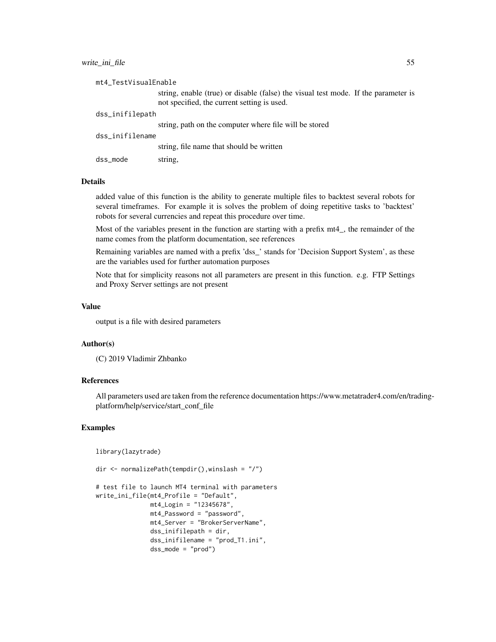#### write\_ini\_file 55

| mt4_TestVisualEnable |                                                                                                                                   |
|----------------------|-----------------------------------------------------------------------------------------------------------------------------------|
|                      | string, enable (true) or disable (false) the visual test mode. If the parameter is<br>not specified, the current setting is used. |
| dss_inifilepath      |                                                                                                                                   |
|                      | string, path on the computer where file will be stored                                                                            |
| dss_inifilename      |                                                                                                                                   |
|                      | string, file name that should be written                                                                                          |
| dss_mode             | string,                                                                                                                           |

#### Details

added value of this function is the ability to generate multiple files to backtest several robots for several timeframes. For example it is solves the problem of doing repetitive tasks to 'backtest' robots for several currencies and repeat this procedure over time.

Most of the variables present in the function are starting with a prefix mt4\_, the remainder of the name comes from the platform documentation, see references

Remaining variables are named with a prefix 'dss\_' stands for 'Decision Support System', as these are the variables used for further automation purposes

Note that for simplicity reasons not all parameters are present in this function. e.g. FTP Settings and Proxy Server settings are not present

#### Value

output is a file with desired parameters

#### Author(s)

(C) 2019 Vladimir Zhbanko

#### References

All parameters used are taken from the reference documentation https://www.metatrader4.com/en/tradingplatform/help/service/start\_conf\_file

```
library(lazytrade)
```

```
dir <- normalizePath(tempdir(),winslash = "/")
```

```
# test file to launch MT4 terminal with parameters
write_ini_file(mt4_Profile = "Default",
              mt4_Login = "12345678",
              mt4_Password = "password",
              mt4_Server = "BrokerServerName",
               dss_inifilepath = dir,
               dss_inifilename = "prod_T1.ini",
               dss_mode = "prod")
```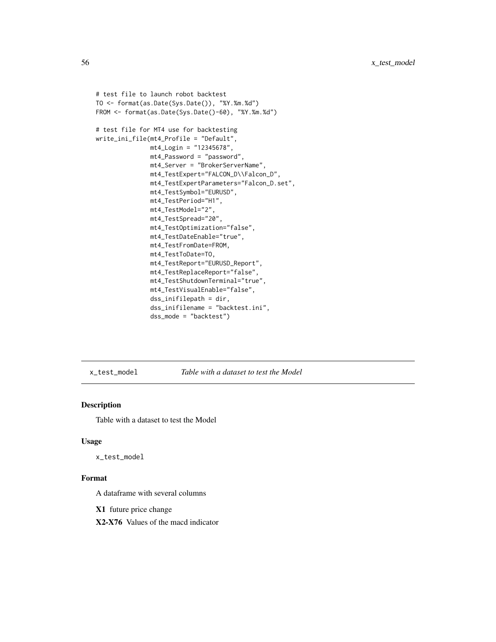```
# test file to launch robot backtest
TO <- format(as.Date(Sys.Date()), "%Y.%m.%d")
FROM <- format(as.Date(Sys.Date()-60), "%Y.%m.%d")
# test file for MT4 use for backtesting
write_ini_file(mt4_Profile = "Default",
               mt4_Login = "12345678",
               mt4_Password = "password",
               mt4_Server = "BrokerServerName",
               mt4_TestExpert="FALCON_D\\Falcon_D",
               mt4_TestExpertParameters="Falcon_D.set",
               mt4_TestSymbol="EURUSD",
               mt4_TestPeriod="H1",
               mt4_TestModel="2",
               mt4_TestSpread="20",
               mt4_TestOptimization="false",
               mt4_TestDateEnable="true",
               mt4_TestFromDate=FROM,
               mt4_TestToDate=TO,
               mt4_TestReport="EURUSD_Report",
               mt4_TestReplaceReport="false",
               mt4_TestShutdownTerminal="true",
               mt4_TestVisualEnable="false",
               dss_inifilepath = dir,
               dss_inifilename = "backtest.ini",
               dss_mode = "backtest")
```
x\_test\_model *Table with a dataset to test the Model*

#### Description

Table with a dataset to test the Model

#### Usage

x\_test\_model

#### Format

A dataframe with several columns

X1 future price change

X2-X76 Values of the macd indicator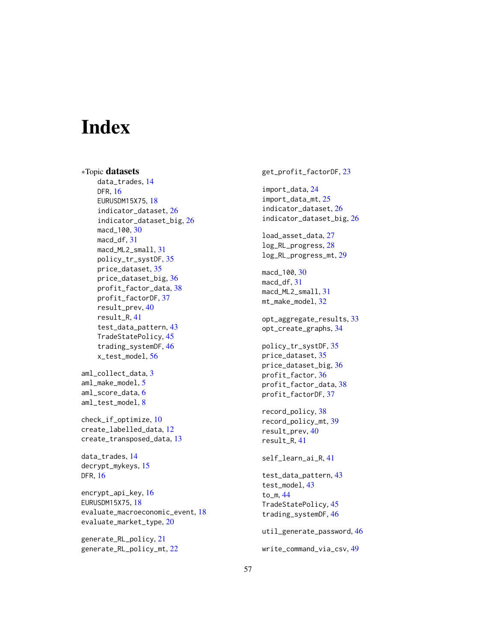# <span id="page-56-0"></span>**Index**

∗Topic datasets data\_trades, [14](#page-13-0) DFR, [16](#page-15-0) EURUSDM15X75, [18](#page-17-0) indicator\_dataset, [26](#page-25-0) indicator\_dataset\_big, [26](#page-25-0) macd\_100, [30](#page-29-0) macd\_df, [31](#page-30-0) macd\_ML2\_small, [31](#page-30-0) policy\_tr\_systDF, [35](#page-34-0) price\_dataset, [35](#page-34-0) price\_dataset\_big, [36](#page-35-0) profit\_factor\_data, [38](#page-37-0) profit\_factorDF, [37](#page-36-0) result\_prev, [40](#page-39-0) result\_R, [41](#page-40-0) test\_data\_pattern, [43](#page-42-0) TradeStatePolicy, [45](#page-44-0) trading\_systemDF, [46](#page-45-0) x\_test\_model, [56](#page-55-0) aml\_collect\_data, [3](#page-2-0) aml\_make\_model, [5](#page-4-0) aml\_score\_data, [6](#page-5-0) aml\_test\_model, [8](#page-7-0) check\_if\_optimize, [10](#page-9-0) create\_labelled\_data, [12](#page-11-0) create\_transposed\_data, [13](#page-12-0) data\_trades, [14](#page-13-0) decrypt\_mykeys, [15](#page-14-0) DFR, [16](#page-15-0) encrypt\_api\_key, [16](#page-15-0) EURUSDM15X75, [18](#page-17-0) evaluate\_macroeconomic\_event, [18](#page-17-0) evaluate\_market\_type, [20](#page-19-0) generate\_RL\_policy, [21](#page-20-0)

generate\_RL\_policy\_mt, [22](#page-21-0)

get\_profit\_factorDF, [23](#page-22-0) import\_data, [24](#page-23-0) import\_data\_mt, [25](#page-24-0) indicator\_dataset, [26](#page-25-0) indicator\_dataset\_big, [26](#page-25-0) load\_asset\_data, [27](#page-26-0) log\_RL\_progress, [28](#page-27-0) log\_RL\_progress\_mt, [29](#page-28-0) macd\_100, [30](#page-29-0) macd\_df, [31](#page-30-0) macd\_ML2\_small, [31](#page-30-0) mt\_make\_model, [32](#page-31-0) opt\_aggregate\_results, [33](#page-32-0) opt\_create\_graphs, [34](#page-33-0) policy\_tr\_systDF, [35](#page-34-0) price\_dataset, [35](#page-34-0) price\_dataset\_big, [36](#page-35-0) profit\_factor, [36](#page-35-0) profit\_factor\_data, [38](#page-37-0) profit\_factorDF, [37](#page-36-0) record\_policy, [38](#page-37-0) record\_policy\_mt, [39](#page-38-0) result\_prev, [40](#page-39-0) result\_R, [41](#page-40-0) self\_learn\_ai\_R, [41](#page-40-0) test\_data\_pattern, [43](#page-42-0) test\_model, [43](#page-42-0) to\_m, [44](#page-43-0) TradeStatePolicy, [45](#page-44-0) trading\_systemDF, [46](#page-45-0) util\_generate\_password, [46](#page-45-0) write\_command\_via\_csv, [49](#page-48-0)